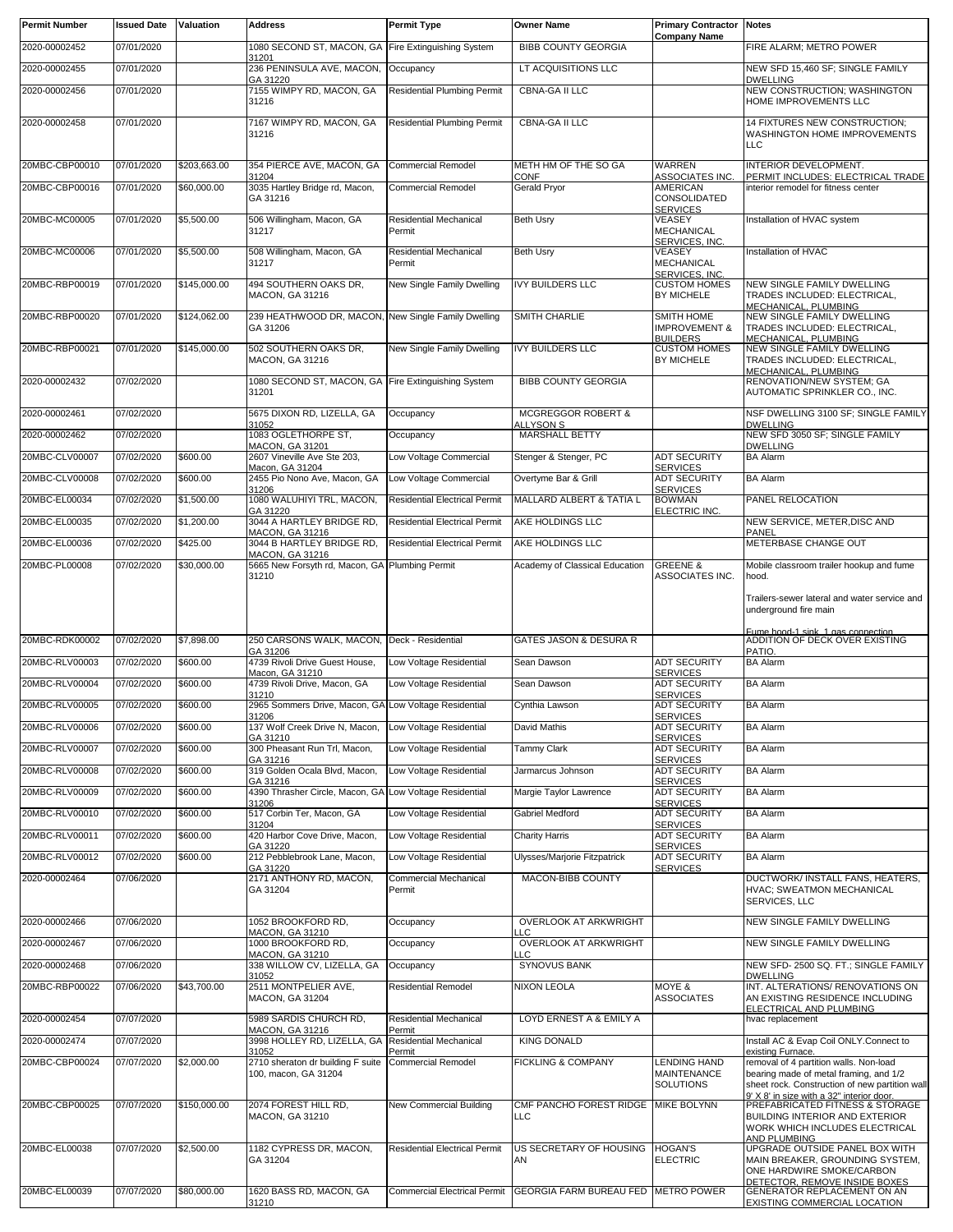| <b>Permit Number</b> | <b>Issued Date</b> | <b>Valuation</b> | <b>Address</b>                                                      | <b>Permit Type</b>                      | <b>Owner Name</b>                         | <b>Primary Contractor</b><br><b>Company Name</b> | <b>Notes</b>                                                                             |
|----------------------|--------------------|------------------|---------------------------------------------------------------------|-----------------------------------------|-------------------------------------------|--------------------------------------------------|------------------------------------------------------------------------------------------|
| 2020-00002452        | 07/01/2020         |                  | 1080 SECOND ST, MACON, GA Fire Extinguishing System                 |                                         | <b>BIBB COUNTY GEORGIA</b>                |                                                  | FIRE ALARM; METRO POWER                                                                  |
| 2020-00002455        | 07/01/2020         |                  | 31201<br>236 PENINSULA AVE, MACON,                                  | Occupancy                               | LT ACQUISITIONS LLC                       |                                                  | NEW SFD 15,460 SF; SINGLE FAMILY                                                         |
| 2020-00002456        | 07/01/2020         |                  | GA 31220<br>7155 WIMPY RD, MACON, GA                                | <b>Residential Plumbing Permit</b>      | CBNA-GA II LLC                            |                                                  | <b>DWELLING</b><br>NEW CONSTRUCTION; WASHINGTON                                          |
|                      |                    |                  | 31216                                                               |                                         |                                           |                                                  | HOME IMPROVEMENTS LLC                                                                    |
| 2020-00002458        | 07/01/2020         |                  | 7167 WIMPY RD, MACON, GA<br>31216                                   | <b>Residential Plumbing Permit</b>      | <b>CBNA-GA II LLC</b>                     |                                                  | 14 FIXTURES NEW CONSTRUCTION;<br>WASHINGTON HOME IMPROVEMENTS                            |
|                      |                    |                  |                                                                     |                                         |                                           |                                                  | LLC                                                                                      |
| 20MBC-CBP00010       | 07/01/2020         | \$203,663.00     | 354 PIERCE AVE, MACON, GA<br>31204                                  | <b>Commercial Remodel</b>               | METH HM OF THE SO GA<br>CONF              | <b>WARREN</b><br>ASSOCIATES INC.                 | INTERIOR DEVELOPMENT.<br>PERMIT INCLUDES: ELECTRICAL TRADE                               |
| 20MBC-CBP00016       | 07/01/2020         | \$60,000.00      | 3035 Hartley Bridge rd, Macon,                                      | <b>Commercial Remodel</b>               | <b>Gerald Pryor</b>                       | AMERICAN                                         | interior remodel for fitness center                                                      |
|                      |                    |                  | GA 31216                                                            |                                         |                                           | CONSOLIDATED<br><b>SERVICES</b>                  |                                                                                          |
| 20MBC-MC00005        | 07/01/2020         | \$5,500.00       | 506 Willingham, Macon, GA<br>31217                                  | <b>Residential Mechanical</b><br>Permit | <b>Beth Usrv</b>                          | VEASEY<br><b>MECHANICAL</b>                      | Installation of HVAC system                                                              |
| 20MBC-MC00006        | 07/01/2020         | \$5,500.00       | 508 Willingham, Macon, GA                                           | <b>Residential Mechanical</b>           | <b>Beth Usry</b>                          | SERVICES, INC.<br>VEASEY                         | Installation of HVAC                                                                     |
|                      |                    |                  | 31217                                                               | Permit                                  |                                           | MECHANICAL<br>SERVICES, INC.                     |                                                                                          |
| 20MBC-RBP00019       | 07/01/2020         | \$145,000.00     | 494 SOUTHERN OAKS DR,<br>MACON, GA 31216                            | New Single Family Dwelling              | <b>IVY BUILDERS LLC</b>                   | <b>CUSTOM HOMES</b><br><b>BY MICHELE</b>         | NEW SINGLE FAMILY DWELLING<br>TRADES INCLUDED: ELECTRICAL,                               |
| 20MBC-RBP00020       | 07/01/2020         | \$124,062.00     | 239 HEATHWOOD DR, MACON, New Single Family Dwelling                 |                                         | SMITH CHARLIE                             | SMITH HOME                                       | MECHANICAL, PLUMBING<br>NEW SINGLE FAMILY DWELLING                                       |
|                      |                    |                  | GA 31206                                                            |                                         |                                           | <b>IMPROVEMENT &amp;</b>                         | TRADES INCLUDED: ELECTRICAL,                                                             |
| 20MBC-RBP00021       | 07/01/2020         | \$145,000.00     | 502 SOUTHERN OAKS DR.                                               | New Single Family Dwelling              | <b>IVY BUILDERS LLC</b>                   | <b>BUILDERS</b><br><b>CUSTOM HOMES</b>           | MECHANICAL, PLUMBING<br>NEW SINGLE FAMILY DWELLING                                       |
|                      |                    |                  | <b>MACON, GA 31216</b>                                              |                                         |                                           | <b>BY MICHELE</b>                                | TRADES INCLUDED: ELECTRICAL,<br>MECHANICAL, PLUMBING                                     |
| 2020-00002432        | 07/02/2020         |                  | 1080 SECOND ST, MACON, GA Fire Extinguishing System<br>31201        |                                         | <b>BIBB COUNTY GEORGIA</b>                |                                                  | RENOVATION/NEW SYSTEM; GA<br>AUTOMATIC SPRINKLER CO., INC.                               |
| 2020-00002461        | 07/02/2020         |                  | 5675 DIXON RD, LIZELLA, GA                                          | Occupancy                               | <b>MCGREGGOR ROBERT &amp;</b>             |                                                  | NSF DWELLING 3100 SF: SINGLE FAMILY                                                      |
| 2020-00002462        | 07/02/2020         |                  | 31052<br>1083 OGLETHORPE ST.                                        | Occupancy                               | <b>ALLYSON S</b><br><b>MARSHALL BETTY</b> |                                                  | <b>DWELLING</b><br>NEW SFD 3050 SF; SINGLE FAMILY                                        |
|                      |                    |                  | <b>MACON, GA 31201</b>                                              |                                         |                                           |                                                  | <b>DWELLING</b>                                                                          |
| 20MBC-CLV00007       | 07/02/2020         | \$600.00         | 2607 Vineville Ave Ste 203,<br>Macon, GA 31204                      | Low Voltage Commercial                  | Stenger & Stenger, PC                     | <b>ADT SECURITY</b><br><b>SERVICES</b>           | <b>BA Alarm</b>                                                                          |
| 20MBC-CLV00008       | 07/02/2020         | \$600.00         | 2455 Pio Nono Ave, Macon, GA<br>31206                               | Low Voltage Commercial                  | Overtyme Bar & Grill                      | <b>ADT SECURITY</b><br><b>SERVICES</b>           | <b>BA Alarm</b>                                                                          |
| 20MBC-EL00034        | 07/02/2020         | \$1,500.00       | 1080 WALUHIYI TRL, MACON,<br>GA 31220                               | <b>Residential Electrical Permit</b>    | MALLARD ALBERT & TATIA L                  | <b>BOWMAN</b><br>ELECTRIC INC.                   | PANEL RELOCATION                                                                         |
| 20MBC-EL00035        | 07/02/2020         | \$1,200.00       | 3044 A HARTLEY BRIDGE RD,<br><b>MACON, GA 31216</b>                 | <b>Residential Electrical Permit</b>    | AKE HOLDINGS LLC                          |                                                  | NEW SERVICE, METER, DISC AND<br>PANEL                                                    |
| 20MBC-EL00036        | 07/02/2020         | \$425.00         | 3044 B HARTLEY BRIDGE RD,<br>MACON, GA 31216                        | <b>Residential Electrical Permit</b>    | AKE HOLDINGS LLC                          |                                                  | METERBASE CHANGE OUT                                                                     |
| 20MBC-PL00008        | 07/02/2020         | \$30,000.00      | 5665 New Forsyth rd, Macon, GA Plumbing Permit                      |                                         | Academy of Classical Education            | <b>GREENE &amp;</b>                              | Mobile classroom trailer hookup and fume                                                 |
|                      |                    |                  | 31210                                                               |                                         |                                           | ASSOCIATES INC.                                  | hood.                                                                                    |
|                      |                    |                  |                                                                     |                                         |                                           |                                                  | Trailers-sewer lateral and water service and<br>underground fire main                    |
|                      |                    |                  |                                                                     |                                         |                                           |                                                  | Fume hood-1 sink 1 gas connection.                                                       |
| 20MBC-RDK00002       | 07/02/2020         | \$7,898.00       | 250 CARSONS WALK, MACON, Deck - Residential<br>GA 31206             |                                         | <b>GATES JASON &amp; DESURA R</b>         |                                                  | ADDITION OF DECK OVER EXISTING<br>PATIO.                                                 |
| 20MBC-RLV00003       | 07/02/2020         | \$600.00         | 4739 Rivoli Drive Guest House,<br>Macon, GA 31210                   | Low Voltage Residential                 | Sean Dawson                               | <b>ADT SECURITY</b><br><b>SERVICES</b>           | <b>BA Alarm</b>                                                                          |
| 20MBC-RLV00004       | 07/02/2020         | \$600.00         | 4739 Rivoli Drive, Macon, GA                                        | Low Voltage Residential                 | Sean Dawson                               | <b>ADT SECURITY</b>                              | <b>BA Alarm</b>                                                                          |
| 20MBC-RLV00005       | 07/02/2020         | \$600.00         | 31210<br>2965 Sommers Drive, Macon, GA Low Voltage Residential      |                                         | Cynthia Lawson                            | <b>SERVICES</b><br><b>ADT SECURITY</b>           | <b>BA Alarm</b>                                                                          |
| 20MBC-RLV00006       | 07/02/2020         | \$600.00         | 31206<br>137 Wolf Creek Drive N, Macon,                             | Low Voltage Residential                 | David Mathis                              | <b>SERVICES</b><br><b>ADT SECURITY</b>           | <b>BA Alarm</b>                                                                          |
| 20MBC-RLV00007       | 07/02/2020         | \$600.00         | GA 31210<br>300 Pheasant Run Trl, Macon,                            | Low Voltage Residential                 | <b>Tammy Clark</b>                        | <b>SERVICES</b><br><b>ADT SECURITY</b>           | <b>BA Alarm</b>                                                                          |
| 20MBC-RLV00008       | 07/02/2020         | \$600.00         | GA 31216<br>319 Golden Ocala Blvd, Macon,                           | Low Voltage Residential                 | Jarmarcus Johnson                         | <b>SERVICES</b><br><b>ADT SECURITY</b>           | <b>BA Alarm</b>                                                                          |
| 20MBC-RLV00009       | 07/02/2020         | \$600.00         | GA 31216<br>4390 Thrasher Circle, Macon, GA Low Voltage Residential |                                         | Margie Taylor Lawrence                    | <b>SERVICES</b><br><b>ADT SECURITY</b>           | <b>BA Alarm</b>                                                                          |
|                      |                    |                  | 31206                                                               |                                         |                                           | <b>SERVICES</b>                                  |                                                                                          |
| 20MBC-RLV00010       | 07/02/2020         | \$600.00         | 517 Corbin Ter, Macon, GA<br>31204                                  | Low Voltage Residential                 | Gabriel Medford                           | <b>ADT SECURITY</b><br><b>SERVICES</b>           | <b>BA Alarm</b>                                                                          |
| 20MBC-RLV00011       | 07/02/2020         | \$600.00         | 420 Harbor Cove Drive, Macon,<br>GA 31220                           | Low Voltage Residential                 | <b>Charity Harris</b>                     | <b>ADT SECURITY</b><br><b>SERVICES</b>           | <b>BA Alarm</b>                                                                          |
| 20MBC-RLV00012       | 07/02/2020         | \$600.00         | 212 Pebblebrook Lane, Macon,<br>GA 31220                            | Low Voltage Residential                 | Ulysses/Marjorie Fitzpatrick              | <b>ADT SECURITY</b><br><b>SERVICES</b>           | <b>BA Alarm</b>                                                                          |
| 2020-00002464        | 07/06/2020         |                  | 2171 ANTHONY RD, MACON,<br>GA 31204                                 | Commercial Mechanical<br>Permit         | MACON-BIBB COUNTY                         |                                                  | DUCTWORK/ INSTALL FANS, HEATERS,<br>HVAC; SWEATMON MECHANICAL                            |
|                      |                    |                  |                                                                     |                                         |                                           |                                                  | SERVICES, LLC                                                                            |
| 2020-00002466        | 07/06/2020         |                  | 1052 BROOKFORD RD,                                                  | Occupancy                               | <b>OVERLOOK AT ARKWRIGHT</b>              |                                                  | NEW SINGLE FAMILY DWELLING                                                               |
| 2020-00002467        | 07/06/2020         |                  | MACON, GA 31210<br>1000 BROOKFORD RD,                               | Occupancy                               | ТC<br>OVERLOOK AT ARKWRIGHT               |                                                  | NEW SINGLE FAMILY DWELLING                                                               |
| 2020-00002468        | 07/06/2020         |                  | MACON, GA 31210<br>338 WILLOW CV, LIZELLA, GA                       | Occupancy                               | ТC<br>SYNOVUS BANK                        |                                                  | NEW SFD- 2500 SQ. FT.; SINGLE FAMILY                                                     |
| 20MBC-RBP00022       | 07/06/2020         | \$43,700.00      | 31052<br>2511 MONTPELIER AVE,                                       | <b>Residential Remodel</b>              | NIXON LEOLA                               | MOYE &                                           | <b>DWELLING</b><br>INT. ALTERATIONS/ RENOVATIONS ON                                      |
|                      |                    |                  | MACON, GA 31204                                                     |                                         |                                           | <b>ASSOCIATES</b>                                | AN EXISTING RESIDENCE INCLUDING<br>ELECTRICAL AND PLUMBING                               |
| 2020-00002454        | 07/07/2020         |                  | 5989 SARDIS CHURCH RD,                                              | Residential Mechanical                  | LOYD ERNEST A & EMILY A                   |                                                  | hvac replacement                                                                         |
| 2020-00002474        | 07/07/2020         |                  | <b>MACON, GA 31216</b><br>3998 HOLLEY RD, LIZELLA, GA               | Permit<br><b>Residential Mechanical</b> | <b>KING DONALD</b>                        |                                                  | Install AC & Evap Coil ONLY.Connect to                                                   |
| 20MBC-CBP00024       | 07/07/2020         | \$2,000.00       | 31052<br>2710 sheraton dr building F suite                          | Permit<br><b>Commercial Remodel</b>     | <b>FICKLING &amp; COMPANY</b>             | <b>LENDING HAND</b>                              | existing Furnace.<br>removal of 4 partition walls. Non-load                              |
|                      |                    |                  | 100, macon, GA 31204                                                |                                         |                                           | MAINTENANCE<br><b>SOLUTIONS</b>                  | bearing made of metal framing, and 1/2<br>sheet rock. Construction of new partition wall |
| 20MBC-CBP00025       | 07/07/2020         | \$150,000.00     | 2074 FOREST HILL RD,                                                | New Commercial Building                 | CMF PANCHO FOREST RIDGE                   | <b>MIKE BOLYNN</b>                               | 9' X 8' in size with a 32" interior door.<br>PREFABRICATED FITNESS & STORAGE             |
|                      |                    |                  | MACON, GA 31210                                                     |                                         | LLC                                       |                                                  | BUILDING INTERIOR AND EXTERIOR                                                           |
|                      |                    |                  |                                                                     |                                         |                                           |                                                  | WORK WHICH INCLUDES ELECTRICAL<br><b>AND PLUMBING</b>                                    |
| 20MBC-EL00038        | 07/07/2020         | \$2,500.00       | 1182 CYPRESS DR, MACON,<br>GA 31204                                 | <b>Residential Electrical Permit</b>    | US SECRETARY OF HOUSING<br>AN             | <b>HOGAN'S</b><br><b>ELECTRIC</b>                | UPGRADE OUTSIDE PANEL BOX WITH<br>MAIN BREAKER, GROUNDING SYSTEM,                        |
|                      |                    |                  |                                                                     |                                         |                                           |                                                  | ONE HARDWIRE SMOKE/CARBON<br>DETECTOR. REMOVE INSIDE BOXES                               |
| 20MBC-EL00039        | 07/07/2020         | \$80,000.00      | 1620 BASS RD, MACON, GA<br>31210                                    | <b>Commercial Electrical Permit</b>     | GEORGIA FARM BUREAU FED                   | <b>METRO POWER</b>                               | GENERATOR REPLACEMENT ON AN<br>EXISTING COMMERCIAL LOCATION                              |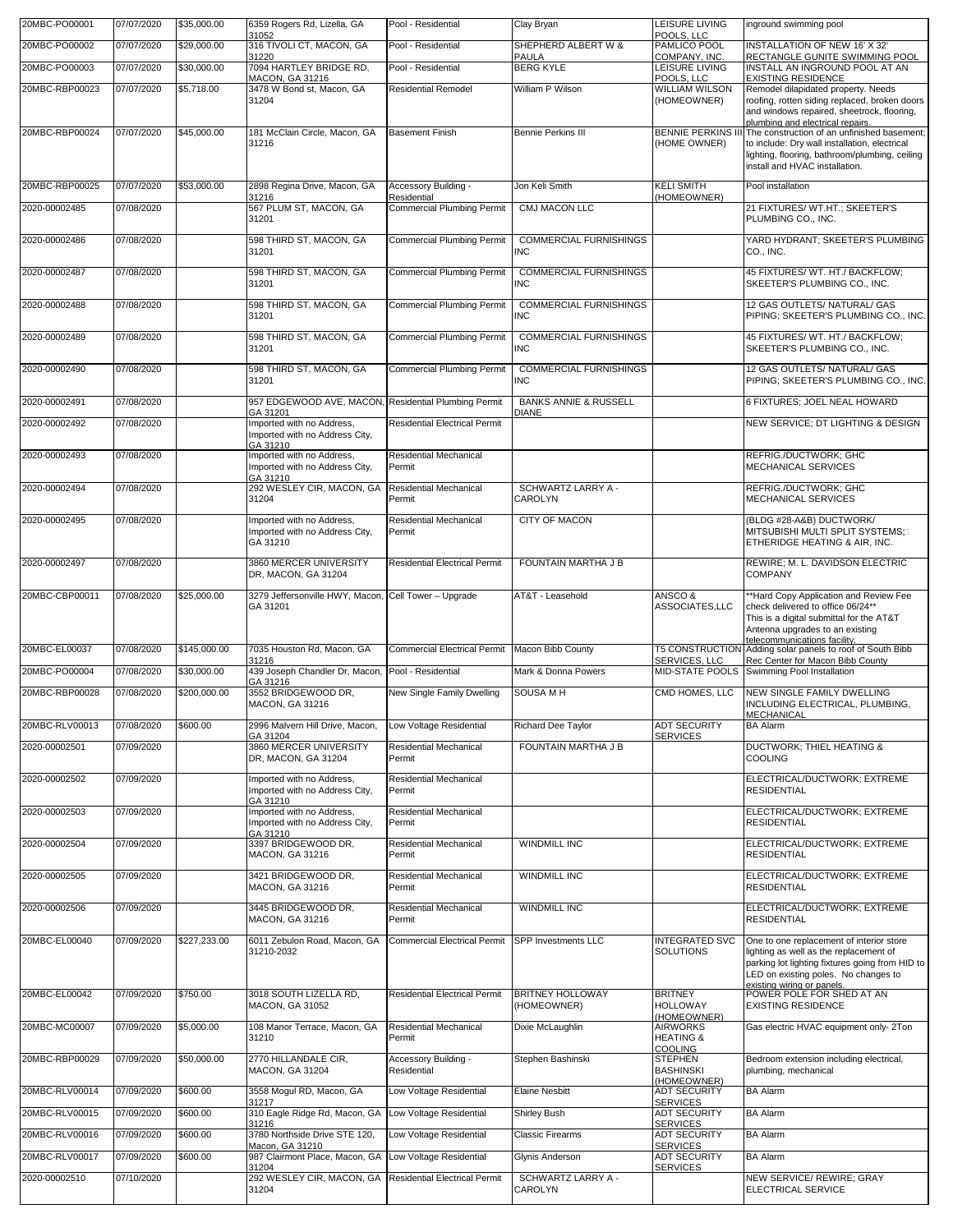| 20MBC-PO00001  | 07/07/2020 | \$35,000.00  | 6359 Rogers Rd, Lizella, GA<br>31052                                    | Pool - Residential                   | Clay Bryan                                       | LEISURE LIVING<br>POOLS, LLC                              | inground swimming pool                                                                                                                                                                                                                  |
|----------------|------------|--------------|-------------------------------------------------------------------------|--------------------------------------|--------------------------------------------------|-----------------------------------------------------------|-----------------------------------------------------------------------------------------------------------------------------------------------------------------------------------------------------------------------------------------|
| 20MBC-PO00002  | 07/07/2020 | \$29,000.00  | 316 TIVOLI CT. MACON, GA<br>31220                                       | Pool - Residential                   | SHEPHERD ALBERT W &<br>PAULA                     | PAMLICO POOL<br>COMPANY, INC.                             | INSTALLATION OF NEW 16' X 32'<br>RECTANGLE GUNITE SWIMMING POOL                                                                                                                                                                         |
| 20MBC-PO00003  | 07/07/2020 | \$30,000.00  | 7094 HARTLEY BRIDGE RD,<br><b>MACON, GA 31216</b>                       | Pool - Residential                   | <b>BERG KYLE</b>                                 | LEISURE LIVING<br>POOLS, LLC                              | INSTALL AN INGROUND POOL AT AN<br><b>EXISTING RESIDENCE</b>                                                                                                                                                                             |
| 20MBC-RBP00023 | 07/07/2020 | \$5,718.00   | 3478 W Bond st, Macon, GA<br>31204                                      | <b>Residential Remodel</b>           | William P Wilson                                 | <b>WILLIAM WILSON</b><br>(HOMEOWNER)                      | Remodel dilapidated property. Needs<br>roofing, rotten siding replaced, broken doors<br>and windows repaired, sheetrock, flooring,                                                                                                      |
| 20MBC-RBP00024 | 07/07/2020 | \$45,000.00  | 181 McClain Circle, Macon, GA<br>31216                                  | <b>Basement Finish</b>               | <b>Bennie Perkins III</b>                        | (HOME OWNER)                                              | plumbing and electrical repairs.<br>BENNIE PERKINS III The construction of an unfinished basement:<br>to include: Dry wall installation, electrical<br>lighting, flooring, bathroom/plumbing, ceiling<br>install and HVAC installation. |
| 20MBC-RBP00025 | 07/07/2020 | \$53,000.00  | 2898 Regina Drive, Macon, GA<br>31216                                   | Accessory Building -<br>Residential  | Jon Keli Smith                                   | <b>KELI SMITH</b><br>(HOMEOWNER)                          | Pool installation                                                                                                                                                                                                                       |
| 2020-00002485  | 07/08/2020 |              | 567 PLUM ST, MACON, GA<br>31201                                         | <b>Commercial Plumbing Permit</b>    | <b>CMJ MACON LLC</b>                             |                                                           | 21 FIXTURES/ WT.HT.; SKEETER'S<br>PLUMBING CO., INC.                                                                                                                                                                                    |
| 2020-00002486  | 07/08/2020 |              | 598 THIRD ST, MACON, GA<br>31201                                        | <b>Commercial Plumbing Permit</b>    | <b>COMMERCIAL FURNISHINGS</b><br><b>INC</b>      |                                                           | YARD HYDRANT: SKEETER'S PLUMBING<br>CO., INC.                                                                                                                                                                                           |
| 2020-00002487  | 07/08/2020 |              | 598 THIRD ST, MACON, GA<br>31201                                        | <b>Commercial Plumbing Permit</b>    | <b>COMMERCIAL FURNISHINGS</b><br><b>INC</b>      |                                                           | 45 FIXTURES/ WT. HT./ BACKFLOW;<br>SKEETER'S PLUMBING CO., INC.                                                                                                                                                                         |
| 2020-00002488  | 07/08/2020 |              | 598 THIRD ST, MACON, GA<br>31201                                        | <b>Commercial Plumbing Permit</b>    | <b>COMMERCIAL FURNISHINGS</b><br><b>INC</b>      |                                                           | 12 GAS OUTLETS/ NATURAL/ GAS<br>PIPING; SKEETER'S PLUMBING CO., INC.                                                                                                                                                                    |
| 2020-00002489  | 07/08/2020 |              | 598 THIRD ST, MACON, GA<br>31201                                        | <b>Commercial Plumbing Permit</b>    | <b>COMMERCIAL FURNISHINGS</b><br><b>INC</b>      |                                                           | 45 FIXTURES/ WT. HT./ BACKFLOW;<br>SKEETER'S PLUMBING CO., INC.                                                                                                                                                                         |
| 2020-00002490  | 07/08/2020 |              | 598 THIRD ST, MACON, GA<br>31201                                        | <b>Commercial Plumbing Permit</b>    | <b>COMMERCIAL FURNISHINGS</b><br><b>INC</b>      |                                                           | 12 GAS OUTLETS/ NATURAL/ GAS<br>PIPING; SKEETER'S PLUMBING CO., INC.                                                                                                                                                                    |
| 2020-00002491  | 07/08/2020 |              | 957 EDGEWOOD AVE, MACON, Residential Plumbing Permit<br>GA 31201        |                                      | <b>BANKS ANNIE &amp; RUSSELL</b><br><b>DIANE</b> |                                                           | 6 FIXTURES; JOEL NEAL HOWARD                                                                                                                                                                                                            |
| 2020-00002492  | 07/08/2020 |              | Imported with no Address,<br>Imported with no Address City,<br>GA 31210 | <b>Residential Electrical Permit</b> |                                                  |                                                           | NEW SERVICE; DT LIGHTING & DESIGN                                                                                                                                                                                                       |
| 2020-00002493  | 07/08/2020 |              | Imported with no Address,<br>Imported with no Address City,<br>GA 31210 | Residential Mechanical<br>Permit     |                                                  |                                                           | REFRIG./DUCTWORK; GHC<br><b>MECHANICAL SERVICES</b>                                                                                                                                                                                     |
| 2020-00002494  | 07/08/2020 |              | 292 WESLEY CIR, MACON, GA<br>31204                                      | Residential Mechanical<br>Permit     | SCHWARTZ LARRY A -<br>CAROLYN                    |                                                           | REFRIG./DUCTWORK; GHC<br>MECHANICAL SERVICES                                                                                                                                                                                            |
| 2020-00002495  | 07/08/2020 |              | Imported with no Address,<br>Imported with no Address City,<br>GA 31210 | Residential Mechanical<br>Permit     | <b>CITY OF MACON</b>                             |                                                           | (BLDG #28-A&B) DUCTWORK/<br>MITSUBISHI MULTI SPLIT SYSTEMS;<br>ETHERIDGE HEATING & AIR, INC.                                                                                                                                            |
| 2020-00002497  | 07/08/2020 |              | 3860 MERCER UNIVERSITY<br>DR, MACON, GA 31204                           | <b>Residential Electrical Permit</b> | <b>FOUNTAIN MARTHA J B</b>                       |                                                           | REWIRE; M. L. DAVIDSON ELECTRIC<br><b>COMPANY</b>                                                                                                                                                                                       |
| 20MBC-CBP00011 | 07/08/2020 | \$25,000.00  | 3279 Jeffersonville HWY, Macon, Cell Tower - Upgrade<br>GA 31201        |                                      | AT&T - Leasehold                                 | ANSCO&<br>ASSOCIATES,LLC                                  | *Hard Copy Application and Review Fee<br>check delivered to office 06/24**<br>This is a digital submittal for the AT&T<br>Antenna upgrades to an existing<br>telecommunications facility.                                               |
| 20MBC-EL00037  | 07/08/2020 | \$145,000.00 | 7035 Houston Rd, Macon, GA<br>31216                                     | <b>Commercial Electrical Permit</b>  | Macon Bibb County                                | <b>T5 CONSTRUCTION</b><br>SERVICES, LLC                   | Adding solar panels to roof of South Bibb<br>Rec Center for Macon Bibb County                                                                                                                                                           |
| 20MBC-PO00004  | 07/08/2020 | \$30,000.00  | 439 Joseph Chandler Dr, Macon,<br>GA 31216                              | Pool - Residential                   | Mark & Donna Powers                              | MID-STATE POOLS                                           | Swimming Pool Installation                                                                                                                                                                                                              |
| 20MBC-RBP00028 | 07/08/2020 | \$200,000,00 | 3552 BRIDGEWOOD DR,<br><b>MACON, GA 31216</b>                           | New Single Family Dwelling           | <b>SOUSA MH</b>                                  | CMD HOMES, LLC                                            | NEW SINGLE FAMILY DWELLING<br>INCLUDING ELECTRICAL, PLUMBING,<br>MECHANICAL                                                                                                                                                             |
| 20MBC-RLV00013 | 07/08/2020 | \$600.00     | 2996 Malvern Hill Drive, Macon,<br>GA 31204                             | Low Voltage Residential              | Richard Dee Taylor                               | <b>ADT SECURITY</b><br><b>SERVICES</b>                    | <b>BA Alarm</b>                                                                                                                                                                                                                         |
| 2020-00002501  | 07/09/2020 |              | 3860 MERCER UNIVERSITY<br>DR, MACON, GA 31204                           | Residential Mechanical<br>Permit     | FOUNTAIN MARTHA J B                              |                                                           | DUCTWORK; THIEL HEATING &<br><b>COOLING</b>                                                                                                                                                                                             |
| 2020-00002502  | 07/09/2020 |              | Imported with no Address,<br>Imported with no Address City,<br>GA 31210 | Residential Mechanical<br>Permit     |                                                  |                                                           | ELECTRICAL/DUCTWORK; EXTREME<br><b>RESIDENTIAL</b>                                                                                                                                                                                      |
| 2020-00002503  | 07/09/2020 |              | Imported with no Address,<br>Imported with no Address City.<br>GA 31210 | Residential Mechanical<br>Permit     |                                                  |                                                           | ELECTRICAL/DUCTWORK; EXTREME<br><b>RESIDENTIAL</b>                                                                                                                                                                                      |
| 2020-00002504  | 07/09/2020 |              | 3397 BRIDGEWOOD DR,<br><b>MACON, GA 31216</b>                           | Residential Mechanical<br>Permit     | <b>WINDMILL INC</b>                              |                                                           | ELECTRICAL/DUCTWORK; EXTREME<br><b>RESIDENTIAL</b>                                                                                                                                                                                      |
| 2020-00002505  | 07/09/2020 |              | 3421 BRIDGEWOOD DR,<br><b>MACON, GA 31216</b>                           | Residential Mechanical<br>Permit     | WINDMILL INC                                     |                                                           | ELECTRICAL/DUCTWORK; EXTREME<br><b>RESIDENTIAL</b>                                                                                                                                                                                      |
| 2020-00002506  | 07/09/2020 |              | 3445 BRIDGEWOOD DR,<br><b>MACON, GA 31216</b>                           | Residential Mechanical<br>Permit     | WINDMILL INC                                     |                                                           | ELECTRICAL/DUCTWORK; EXTREME<br><b>RESIDENTIAL</b>                                                                                                                                                                                      |
| 20MBC-EL00040  | 07/09/2020 | \$227,233.00 | 6011 Zebulon Road, Macon, GA<br>31210-2032                              | <b>Commercial Electrical Permit</b>  | SPP Investments LLC                              | <b>INTEGRATED SVC</b><br><b>SOLUTIONS</b>                 | One to one replacement of interior store<br>lighting as well as the replacement of<br>parking lot lighting fixtures going from HID to<br>LED on existing poles. No changes to<br>existing wiring or panels.                             |
| 20MBC-EL00042  | 07/09/2020 | \$750.00     | 3018 SOUTH LIZELLA RD,<br>MACON, GA 31052                               | <b>Residential Electrical Permit</b> | BRITNEY HOLLOWAY<br>(HOMEOWNER)                  | <b>BRITNEY</b><br><b>HOLLOWAY</b><br>(HOMEOWNER)          | POWER POLE FOR SHED AT AN<br><b>EXISTING RESIDENCE</b>                                                                                                                                                                                  |
| 20MBC-MC00007  | 07/09/2020 | \$5,000.00   | 108 Manor Terrace, Macon, GA<br>31210                                   | Residential Mechanical<br>Permit     | Dixie McLaughlin                                 | <b>AIRWORKS</b><br><b>HEATING &amp;</b><br><b>COOLING</b> | Gas electric HVAC equipment only-2Ton                                                                                                                                                                                                   |
| 20MBC-RBP00029 | 07/09/2020 | \$50,000.00  | 2770 HILLANDALE CIR,<br>MACON, GA 31204                                 | Accessory Building -<br>Residential  | Stephen Bashinski                                | <b>STEPHEN</b><br><b>BASHINSKI</b><br>(HOMEOWNER)         | Bedroom extension including electrical,<br>plumbing, mechanical                                                                                                                                                                         |
| 20MBC-RLV00014 | 07/09/2020 | \$600.00     | 3558 Mogul RD, Macon, GA<br>31217                                       | Low Voltage Residential              | <b>Elaine Nesbitt</b>                            | <b>ADT SECURITY</b><br><b>SERVICES</b>                    | <b>BA Alarm</b>                                                                                                                                                                                                                         |
| 20MBC-RLV00015 | 07/09/2020 | \$600.00     | 310 Eagle Ridge Rd, Macon, GA<br>31216                                  | Low Voltage Residential              | Shirley Bush                                     | <b>ADT SECURITY</b><br><b>SERVICES</b>                    | <b>BA Alarm</b>                                                                                                                                                                                                                         |
| 20MBC-RLV00016 | 07/09/2020 | \$600.00     | 3780 Northside Drive STE 120,<br>Macon, GA 31210                        | Low Voltage Residential              | <b>Classic Firearms</b>                          | ADT SECURITY<br><b>SERVICES</b>                           | <b>BA Alarm</b>                                                                                                                                                                                                                         |
| 20MBC-RLV00017 | 07/09/2020 | \$600.00     | 987 Clairmont Place, Macon, GA<br>31204                                 | Low Voltage Residential              | Glynis Anderson                                  | <b>ADT SECURITY</b><br><b>SERVICES</b>                    | <b>BA Alarm</b>                                                                                                                                                                                                                         |
| 2020-00002510  | 07/10/2020 |              | 292 WESLEY CIR, MACON, GA<br>31204                                      | <b>Residential Electrical Permit</b> | <b>SCHWARTZ LARRY A -</b><br>CAROLYN             |                                                           | NEW SERVICE/ REWIRE; GRAY<br>ELECTRICAL SERVICE                                                                                                                                                                                         |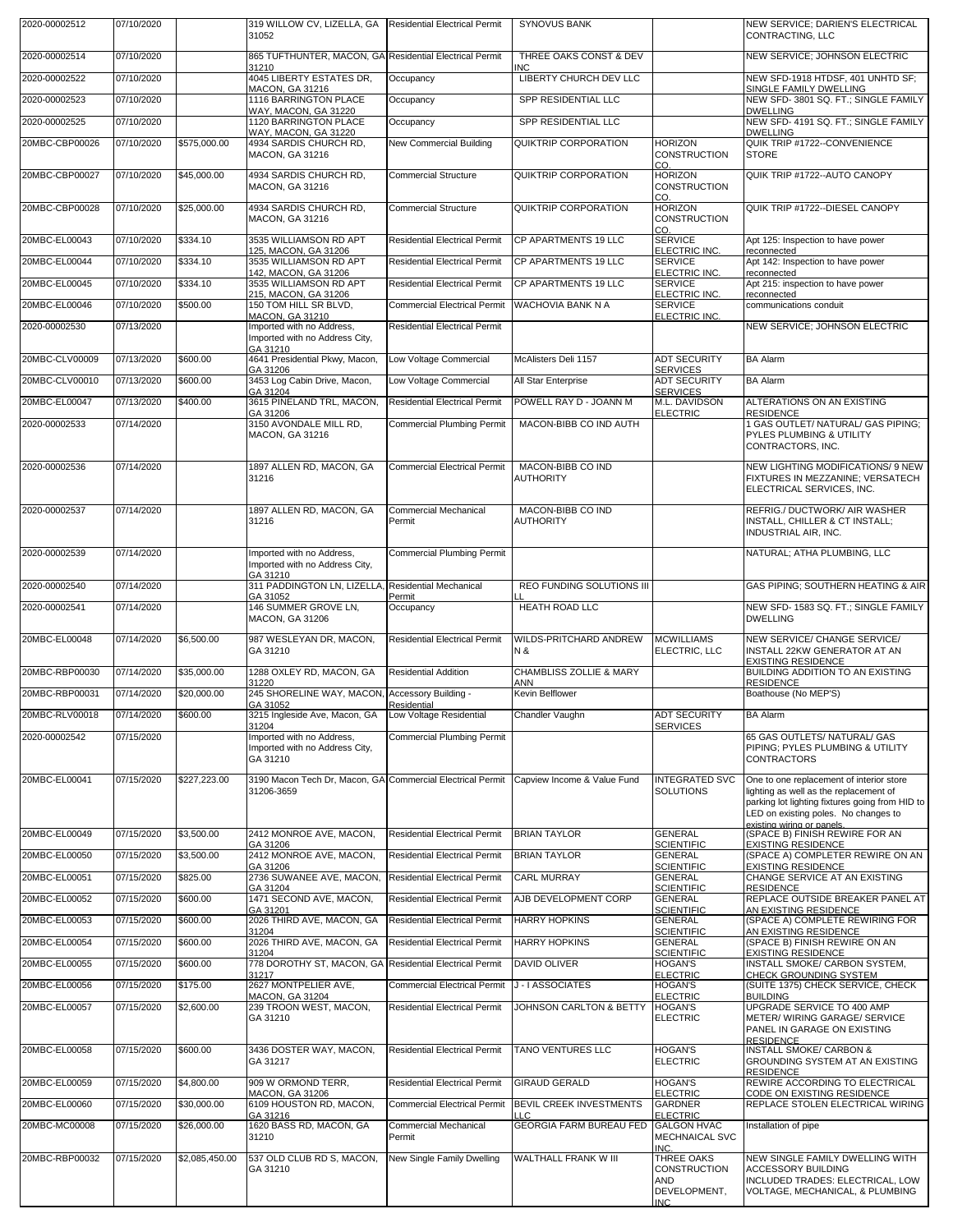| 2020-00002512  | 07/10/2020 |                | 319 WILLOW CV, LIZELLA, GA<br>31052                                      | <b>Residential Electrical Permit</b>    | <b>SYNOVUS BANK</b>                              |                                                                         | NEW SERVICE; DARIEN'S ELECTRICAL<br>CONTRACTING, LLC                                                                                                                          |
|----------------|------------|----------------|--------------------------------------------------------------------------|-----------------------------------------|--------------------------------------------------|-------------------------------------------------------------------------|-------------------------------------------------------------------------------------------------------------------------------------------------------------------------------|
| 2020-00002514  | 07/10/2020 |                | 865 TUFTHUNTER, MACON, GA Residential Electrical Permit                  |                                         | THREE OAKS CONST & DEV                           |                                                                         | NEW SERVICE; JOHNSON ELECTRIC                                                                                                                                                 |
| 2020-00002522  | 07/10/2020 |                | 31210<br>4045 LIBERTY ESTATES DR,                                        | Occupancy                               | INC<br>LIBERTY CHURCH DEV LLC                    |                                                                         | NEW SFD-1918 HTDSF, 401 UNHTD SF;                                                                                                                                             |
| 2020-00002523  | 07/10/2020 |                | MACON, GA 31216<br>1116 BARRINGTON PLACE                                 | Occupancy                               | SPP RESIDENTIAL LLC                              |                                                                         | SINGLE FAMILY DWELLING<br>NEW SFD- 3801 SQ. FT.; SINGLE FAMILY                                                                                                                |
| 2020-00002525  | 07/10/2020 |                | WAY, MACON, GA 31220<br>1120 BARRINGTON PLACE<br>WAY, MACON, GA 31220    | Occupancy                               | SPP RESIDENTIAL LLC                              |                                                                         | <b>DWELLING</b><br>NEW SFD- 4191 SQ. FT.; SINGLE FAMILY<br><b>DWELLING</b>                                                                                                    |
| 20MBC-CBP00026 | 07/10/2020 | \$575,000.00   | 4934 SARDIS CHURCH RD,<br><b>MACON, GA 31216</b>                         | New Commercial Building                 | <b>QUIKTRIP CORPORATION</b>                      | <b>HORIZON</b><br><b>CONSTRUCTION</b><br>CO.                            | QUIK TRIP #1722 -- CONVENIENCE<br><b>STORE</b>                                                                                                                                |
| 20MBC-CBP00027 | 07/10/2020 | \$45,000.00    | 4934 SARDIS CHURCH RD.<br><b>MACON, GA 31216</b>                         | <b>Commercial Structure</b>             | QUIKTRIP CORPORATION                             | <b>HORIZON</b><br><b>CONSTRUCTION</b><br>CO.                            | QUIK TRIP #1722 -- AUTO CANOPY                                                                                                                                                |
| 20MBC-CBP00028 | 07/10/2020 | \$25,000.00    | 4934 SARDIS CHURCH RD,<br><b>MACON, GA 31216</b>                         | <b>Commercial Structure</b>             | QUIKTRIP CORPORATION                             | <b>HORIZON</b><br><b>CONSTRUCTION</b><br>CO.                            | QUIK TRIP #1722--DIESEL CANOPY                                                                                                                                                |
| 20MBC-EL00043  | 07/10/2020 | \$334.10       | 3535 WILLIAMSON RD APT<br>125, MACON, GA 31206                           | <b>Residential Electrical Permit</b>    | CP APARTMENTS 19 LLC                             | <b>SERVICE</b><br>ELECTRIC INC.                                         | Apt 125: Inspection to have power<br>reconnected                                                                                                                              |
| 20MBC-EL00044  | 07/10/2020 | \$334.10       | 3535 WILLIAMSON RD APT<br>142, MACON, GA 31206                           | <b>Residential Electrical Permit</b>    | CP APARTMENTS 19 LLC                             | <b>SERVICE</b><br>ELECTRIC INC.                                         | Apt 142: Inspection to have power<br>reconnected                                                                                                                              |
| 20MBC-EL00045  | 07/10/2020 | \$334.10       | 3535 WILLIAMSON RD APT<br>215, MACON, GA 31206                           | <b>Residential Electrical Permit</b>    | CP APARTMENTS 19 LLC                             | <b>SERVICE</b><br>ELECTRIC INC.                                         | Apt 215: inspection to have power<br>reconnected                                                                                                                              |
| 20MBC-EL00046  | 07/10/2020 | \$500.00       | 150 TOM HILL SR BLVD,<br>MACON, GA 31210                                 | <b>Commercial Electrical Permit</b>     | WACHOVIA BANK N A                                | <b>SERVICE</b><br>ELECTRIC INC.                                         | communications conduit                                                                                                                                                        |
| 2020-00002530  | 07/13/2020 |                | Imported with no Address,<br>Imported with no Address City,              | <b>Residential Electrical Permit</b>    |                                                  |                                                                         | NEW SERVICE; JOHNSON ELECTRIC                                                                                                                                                 |
| 20MBC-CLV00009 | 07/13/2020 | \$600.00       | GA 31210<br>4641 Presidential Pkwy, Macon,                               | Low Voltage Commercial                  | McAlisters Deli 1157                             | <b>ADT SECURITY</b>                                                     | <b>BA Alarm</b>                                                                                                                                                               |
| 20MBC-CLV00010 | 07/13/2020 | \$600.00       | GA 31206<br>3453 Log Cabin Drive, Macon,                                 | Low Voltage Commercial                  | All Star Enterprise                              | <b>SERVICES</b><br><b>ADT SECURITY</b>                                  | <b>BA Alarm</b>                                                                                                                                                               |
| 20MBC-EL00047  | 07/13/2020 | \$400.00       | GA 31204<br>3615 PINELAND TRL, MACON.                                    | <b>Residential Electrical Permit</b>    | POWELL RAY D - JOANN M                           | <b>SERVICES</b><br>M.L. DAVIDSON                                        | ALTERATIONS ON AN EXISTING                                                                                                                                                    |
| 2020-00002533  | 07/14/2020 |                | GA 31206<br>3150 AVONDALE MILL RD,                                       | <b>Commercial Plumbing Permit</b>       | MACON-BIBB CO IND AUTH                           | <b>ELECTRIC</b>                                                         | <b>RESIDENCE</b><br>1 GAS OUTLET/ NATURAL/ GAS PIPING;                                                                                                                        |
|                |            |                | MACON, GA 31216                                                          |                                         |                                                  |                                                                         | PYLES PLUMBING & UTILITY<br>CONTRACTORS, INC.                                                                                                                                 |
| 2020-00002536  | 07/14/2020 |                | 1897 ALLEN RD, MACON, GA<br>31216                                        | <b>Commercial Electrical Permit</b>     | MACON-BIBB CO IND<br><b>AUTHORITY</b>            |                                                                         | NEW LIGHTING MODIFICATIONS/ 9 NEW<br>FIXTURES IN MEZZANINE; VERSATECH<br>ELECTRICAL SERVICES, INC.                                                                            |
| 2020-00002537  | 07/14/2020 |                | 1897 ALLEN RD, MACON, GA<br>31216                                        | Commercial Mechanical<br>Permit         | MACON-BIBB CO IND<br><b>AUTHORITY</b>            |                                                                         | REFRIG./ DUCTWORK/ AIR WASHER<br>INSTALL, CHILLER & CT INSTALL;<br>INDUSTRIAL AIR, INC.                                                                                       |
| 2020-00002539  | 07/14/2020 |                | Imported with no Address,<br>Imported with no Address City,<br>GA 31210  | <b>Commercial Plumbing Permit</b>       |                                                  |                                                                         | NATURAL; ATHA PLUMBING, LLC                                                                                                                                                   |
| 2020-00002540  | 07/14/2020 |                | 311 PADDINGTON LN, LIZELLA,<br>GA 31052                                  | <b>Residential Mechanical</b><br>Permit | <b>REO FUNDING SOLUTIONS III</b>                 |                                                                         | GAS PIPING; SOUTHERN HEATING & AIR                                                                                                                                            |
| 2020-00002541  | 07/14/2020 |                | 146 SUMMER GROVE LN,<br><b>MACON, GA 31206</b>                           | Occupancy                               | <b>HEATH ROAD LLC</b>                            |                                                                         | NEW SFD- 1583 SQ. FT.; SINGLE FAMILY<br><b>DWELLING</b>                                                                                                                       |
| 20MBC-EL00048  | 07/14/2020 | \$6,500.00     | 987 WESLEYAN DR, MACON,<br>GA 31210                                      | <b>Residential Electrical Permit</b>    | WILDS-PRITCHARD ANDREW<br>N &                    | <b>MCWILLIAMS</b><br>ELECTRIC, LLC                                      | NEW SERVICE/ CHANGE SERVICE/<br>INSTALL 22KW GENERATOR AT AN<br><b>EXISTING RESIDENCE</b>                                                                                     |
| 20MBC-RBP00030 | 07/14/2020 | \$35,000.00    | 1288 OXLEY RD, MACON, GA<br>31220                                        | <b>Residential Addition</b>             | <b>CHAMBLISS ZOLLIE &amp; MARY</b><br><b>ANN</b> |                                                                         | BUILDING ADDITION TO AN EXISTING<br><b>RESIDENCE</b>                                                                                                                          |
| 20MBC-RBP00031 | 07/14/2020 | \$20,000.00    | 245 SHORELINE WAY, MACON, Accessory Building -<br>GA 31052               | Residential                             | Kevin Belflower                                  |                                                                         | Boathouse (No MEP'S)                                                                                                                                                          |
| 20MBC-RLV00018 | 07/14/2020 | \$600.00       | 3215 Ingleside Ave, Macon, GA Low Voltage Residential<br>31204           |                                         | Chandler Vaughn                                  | <b>ADT SECURITY</b><br><b>SERVICES</b>                                  | <b>BA Alarm</b>                                                                                                                                                               |
| 2020-00002542  | 07/15/2020 |                | Imported with no Address,<br>Imported with no Address City,<br>GA 31210  | <b>Commercial Plumbing Permit</b>       |                                                  |                                                                         | 65 GAS OUTLETS/ NATURAL/ GAS<br>PIPING; PYLES PLUMBING & UTILITY<br><b>CONTRACTORS</b>                                                                                        |
| 20MBC-EL00041  | 07/15/2020 | \$227,223.00   | 3190 Macon Tech Dr, Macon, GA Commercial Electrical Permit<br>31206-3659 |                                         | Capview Income & Value Fund                      | <b>INTEGRATED SVC</b><br>SOLUTIONS                                      | One to one replacement of interior store<br>lighting as well as the replacement of<br>parking lot lighting fixtures going from HID to<br>LED on existing poles. No changes to |
| 20MBC-EL00049  | 07/15/2020 | \$3,500.00     | 2412 MONROE AVE, MACON,                                                  | <b>Residential Electrical Permit</b>    | <b>BRIAN TAYLOR</b>                              | <b>GENERAL</b>                                                          | existing wiring or panels.<br>(SPACE B) FINISH REWIRE FOR AN                                                                                                                  |
| 20MBC-EL00050  | 07/15/2020 | \$3,500.00     | GA 31206<br>2412 MONROE AVE, MACON,                                      | <b>Residential Electrical Permit</b>    | <b>BRIAN TAYLOR</b>                              | <b>SCIENTIFIC</b><br><b>GENERAL</b>                                     | <b>EXISTING RESIDENCE</b><br>(SPACE A) COMPLETER REWIRE ON AN                                                                                                                 |
| 20MBC-EL00051  | 07/15/2020 | \$825.00       | GA 31206<br>2736 SUWANEE AVE, MACON,                                     | <b>Residential Electrical Permit</b>    | <b>CARL MURRAY</b>                               | <b>SCIENTIFIC</b><br><b>GENERAL</b>                                     | <b>EXISTING RESIDENCE</b><br>CHANGE SERVICE AT AN EXISTING                                                                                                                    |
| 20MBC-EL00052  | 07/15/2020 | \$600.00       | GA 31204<br>1471 SECOND AVE, MACON,                                      | <b>Residential Electrical Permit</b>    | AJB DEVELOPMENT CORP                             | <b>SCIENTIFIC</b><br><b>GENERAL</b>                                     | <b>RESIDENCE</b><br>REPLACE OUTSIDE BREAKER PANEL AT                                                                                                                          |
| 20MBC-EL00053  | 07/15/2020 | \$600.00       | GA 31201<br>2026 THIRD AVE, MACON, GA                                    | <b>Residential Electrical Permit</b>    | <b>HARRY HOPKINS</b>                             | <b>SCIENTIFIC</b><br><b>GENERAL</b>                                     | AN EXISTING RESIDENCE<br>(SPACE A) COMPLETE REWIRING FOR                                                                                                                      |
| 20MBC-EL00054  | 07/15/2020 | \$600.00       | 31204<br>2026 THIRD AVE, MACON, GA                                       | <b>Residential Electrical Permit</b>    | <b>HARRY HOPKINS</b>                             | <b>SCIENTIFIC</b><br><b>GENERAL</b>                                     | AN EXISTING RESIDENCE<br>(SPACE B) FINISH REWIRE ON AN                                                                                                                        |
| 20MBC-EL00055  | 07/15/2020 | \$600.00       | 31204<br>778 DOROTHY ST, MACON, GA                                       | <b>Residential Electrical Permit</b>    | DAVID OLIVER                                     | <b>SCIENTIFIC</b><br><b>HOGAN'S</b>                                     | <b>EXISTING RESIDENCE</b><br>INSTALL SMOKE/ CARBON SYSTEM,                                                                                                                    |
| 20MBC-EL00056  | 07/15/2020 | \$175.00       | 31217<br>2627 MONTPELIER AVE,                                            | <b>Commercial Electrical Permit</b>     | J-I ASSOCIATES                                   | <b>ELECTRIC</b><br><b>HOGAN'S</b>                                       | CHECK GROUNDING SYSTEM<br>(SUITE 1375) CHECK SERVICE, CHECK                                                                                                                   |
|                |            |                | MACON, GA 31204                                                          |                                         |                                                  | <b>ELECTRIC</b>                                                         | <b>BUILDING</b>                                                                                                                                                               |
| 20MBC-EL00057  | 07/15/2020 | \$2,600.00     | 239 TROON WEST, MACON,<br>GA 31210                                       | <b>Residential Electrical Permit</b>    | JOHNSON CARLTON & BETTY                          | <b>HOGAN'S</b><br><b>ELECTRIC</b>                                       | UPGRADE SERVICE TO 400 AMP<br>METER/ WIRING GARAGE/ SERVICE<br>PANEL IN GARAGE ON EXISTING<br><b>RESIDENCE</b>                                                                |
| 20MBC-EL00058  | 07/15/2020 | \$600.00       | 3436 DOSTER WAY, MACON,<br>GA 31217                                      | <b>Residential Electrical Permit</b>    | <b>TANO VENTURES LLC</b>                         | <b>HOGAN'S</b><br><b>ELECTRIC</b>                                       | <b>INSTALL SMOKE/ CARBON &amp;</b><br>GROUNDING SYSTEM AT AN EXISTING<br><b>RESIDENCE</b>                                                                                     |
| 20MBC-EL00059  | 07/15/2020 | \$4,800.00     | 909 W ORMOND TERR,<br>MACON, GA 31206                                    | <b>Residential Electrical Permit</b>    | <b>GIRAUD GERALD</b>                             | <b>HOGAN'S</b><br><b>ELECTRIC</b>                                       | REWIRE ACCORDING TO ELECTRICAL<br>CODE ON EXISTING RESIDENCE                                                                                                                  |
| 20MBC-EL00060  | 07/15/2020 | \$30,000.00    | 6109 HOUSTON RD, MACON,<br>GA 31216                                      | <b>Commercial Electrical Permit</b>     | BEVIL CREEK INVESTMENTS<br>LLC                   | <b>GARDNER</b><br><b>ELECTRIC</b>                                       | REPLACE STOLEN ELECTRICAL WIRING                                                                                                                                              |
| 20MBC-MC00008  | 07/15/2020 | \$26,000.00    | 1620 BASS RD, MACON, GA<br>31210                                         | Commercial Mechanical<br>Permit         | <b>GEORGIA FARM BUREAU FED</b>                   | <b>GALGON HVAC</b><br>MECHNAICAL SVC<br>INC.                            | Installation of pipe                                                                                                                                                          |
| 20MBC-RBP00032 | 07/15/2020 | \$2,085,450.00 | 537 OLD CLUB RD S, MACON.<br>GA 31210                                    | New Single Family Dwelling              | WALTHALL FRANK W III                             | THREE OAKS<br><b>CONSTRUCTION</b><br><b>AND</b><br>DEVELOPMENT,<br>INC. | NEW SINGLE FAMILY DWELLING WITH<br><b>ACCESSORY BUILDING</b><br>INCLUDED TRADES: ELECTRICAL, LOW<br>VOLTAGE, MECHANICAL, & PLUMBING                                           |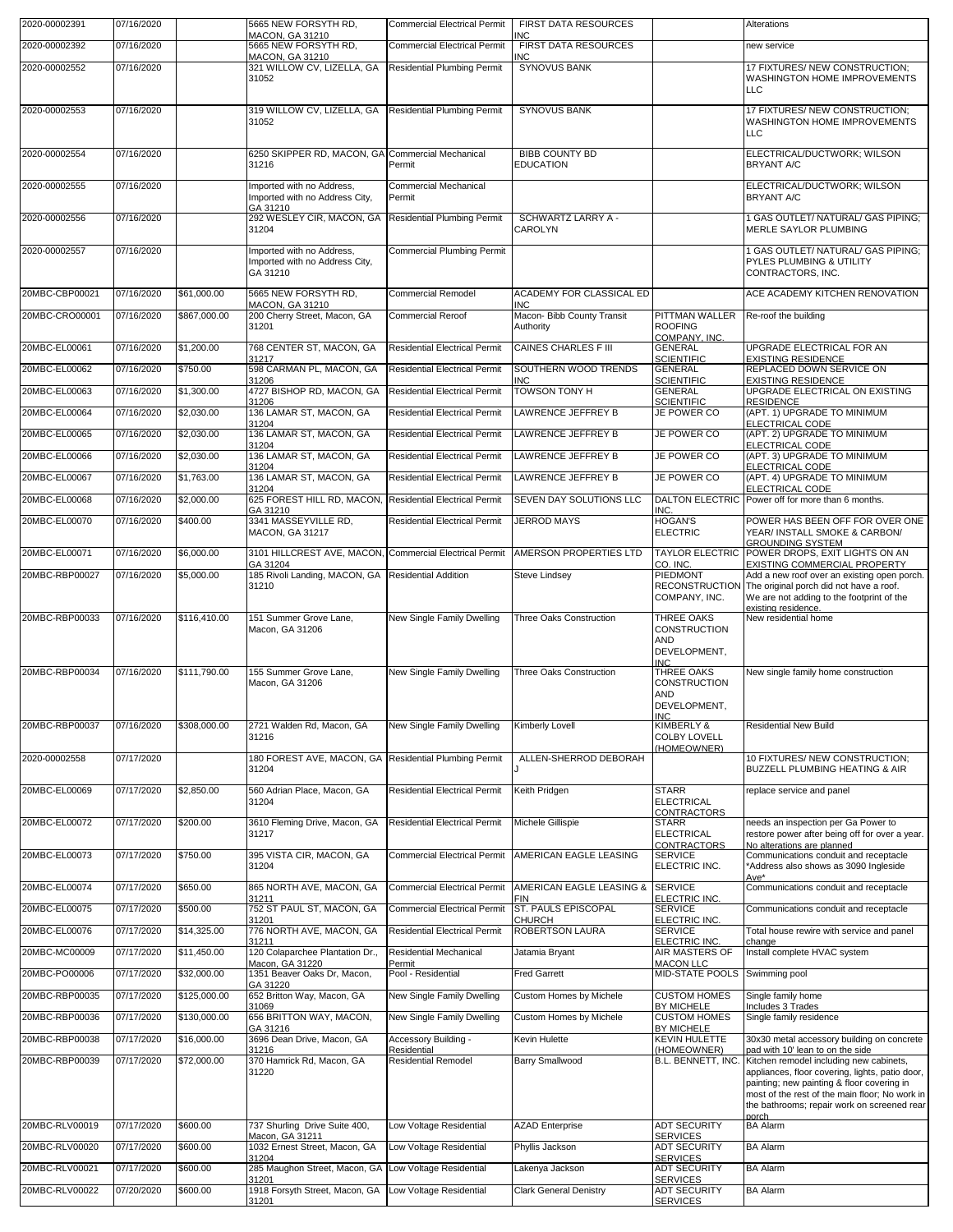| 2020-00002392<br><b>Commercial Electrical Permit</b><br>FIRST DATA RESOURCES<br>07/16/2020<br>5665 NEW FORSYTH RD,<br>new service<br>MACON, GA 31210<br>INC<br>2020-00002552<br>07/16/2020<br>321 WILLOW CV, LIZELLA, GA<br><b>SYNOVUS BANK</b><br>17 FIXTURES/ NEW CONSTRUCTION:<br><b>Residential Plumbing Permit</b><br>31052<br>WASHINGTON HOME IMPROVEMENTS<br><b>LLC</b><br>07/16/2020<br>319 WILLOW CV, LIZELLA, GA<br><b>Residential Plumbing Permit</b><br><b>SYNOVUS BANK</b><br>17 FIXTURES/ NEW CONSTRUCTION;<br>2020-00002553<br>31052<br>WASHINGTON HOME IMPROVEMENTS<br><b>LLC</b><br>2020-00002554<br>07/16/2020<br>6250 SKIPPER RD, MACON, GA Commercial Mechanical<br><b>BIBB COUNTY BD</b><br>ELECTRICAL/DUCTWORK; WILSON<br>Permit<br><b>EDUCATION</b><br><b>BRYANT A/C</b><br>31216<br>07/16/2020<br>Imported with no Address,<br><b>Commercial Mechanical</b><br>ELECTRICAL/DUCTWORK; WILSON<br>2020-00002555<br>Imported with no Address City.<br><b>BRYANT A/C</b><br>Permit<br>GA 31210<br>292 WESLEY CIR, MACON, GA<br>2020-00002556<br>07/16/2020<br><b>Residential Plumbing Permit</b><br>1 GAS OUTLET/ NATURAL/ GAS PIPING;<br>SCHWARTZ LARRY A -<br>MERLE SAYLOR PLUMBING<br>31204<br>CAROLYN<br>07/16/2020<br>Imported with no Address,<br><b>Commercial Plumbing Permit</b><br>1 GAS OUTLET/ NATURAL/ GAS PIPING;<br>2020-00002557<br>PYLES PLUMBING & UTILITY<br>Imported with no Address City,<br>GA 31210<br>CONTRACTORS, INC.<br>20MBC-CBP00021<br>07/16/2020<br>\$61,000.00<br>5665 NEW FORSYTH RD,<br>ACADEMY FOR CLASSICAL ED<br>ACE ACADEMY KITCHEN RENOVATION<br><b>Commercial Remodel</b><br><b>MACON, GA 31210</b><br><b>INC</b><br>\$867,000.00<br>200 Cherry Street, Macon, GA<br>Macon- Bibb County Transit<br>PITTMAN WALLER<br>20MBC-CRO00001<br>07/16/2020<br><b>Commercial Reroof</b><br>Re-roof the building<br>31201<br>Authority<br><b>ROOFING</b><br>COMPANY, INC.<br>\$1,200.00<br>768 CENTER ST, MACON, GA<br><b>CAINES CHARLES F III</b><br>20MBC-EL00061<br>07/16/2020<br><b>Residential Electrical Permit</b><br><b>GENERAL</b><br>UPGRADE ELECTRICAL FOR AN<br><b>SCIENTIFIC</b><br><b>EXISTING RESIDENCE</b><br>31217<br>20MBC-EL00062<br>07/16/2020<br>\$750.00<br>598 CARMAN PL, MACON, GA<br><b>Residential Electrical Permit</b><br>SOUTHERN WOOD TRENDS<br>REPLACED DOWN SERVICE ON<br><b>GENERAL</b><br><b>SCIENTIFIC</b><br><b>EXISTING RESIDENCE</b><br>31206<br><b>INC</b><br>UPGRADE ELECTRICAL ON EXISTING<br>\$1,300.00<br>4727 BISHOP RD. MACON. GA<br><b>Residential Electrical Permit</b><br><b>TOWSON TONY H</b><br><b>GENERAL</b><br>20MBC-EL00063<br>07/16/2020<br><b>RESIDENCE</b><br>31206<br><b>SCIENTIFIC</b><br>136 LAMAR ST, MACON, GA<br>(APT. 1) UPGRADE TO MINIMUM<br>20MBC-EL00064<br>07/16/2020<br>\$2,030.00<br>LAWRENCE JEFFREY B<br>JE POWER CO<br><b>Residential Electrical Permit</b><br>ELECTRICAL CODE<br>31204<br>20MBC-EL00065<br>07/16/2020<br>\$2,030.00<br>136 LAMAR ST, MACON, GA<br><b>Residential Electrical Permit</b><br><b>LAWRENCE JEFFREY B</b><br>JE POWER CO<br>(APT. 2) UPGRADE TO MINIMUM<br>31204<br>ELECTRICAL CODE<br>(APT. 3) UPGRADE TO MINIMUM<br>\$2,030,00<br>136 LAMAR ST, MACON, GA<br><b>LAWRENCE JEFFREY B</b><br>JE POWER CO<br>20MBC-EL00066<br>07/16/2020<br><b>Residential Electrical Permit</b><br>ELECTRICAL CODE<br>31204<br>07/16/2020<br>\$1,763.00<br>136 LAMAR ST, MACON, GA<br>JE POWER CO<br>(APT. 4) UPGRADE TO MINIMUM<br>20MBC-EL00067<br><b>Residential Electrical Permit</b><br>LAWRENCE JEFFREY B<br>ELECTRICAL CODE<br>31204<br>07/16/2020<br>\$2,000.00<br>625 FOREST HILL RD, MACON,<br><b>DALTON ELECTRIC</b><br>20MBC-EL00068<br><b>Residential Electrical Permit</b><br>SEVEN DAY SOLUTIONS LLC<br>Power off for more than 6 months.<br>GA 31210<br>INC.<br>\$400.00<br>3341 MASSEYVILLE RD,<br>POWER HAS BEEN OFF FOR OVER ONE<br>20MBC-EL00070<br>07/16/2020<br><b>Residential Electrical Permit</b><br><b>JERROD MAYS</b><br><b>HOGAN'S</b><br><b>ELECTRIC</b><br>MACON, GA 31217<br>YEAR/ INSTALL SMOKE & CARBON/<br><b>GROUNDING SYSTEM</b><br><b>TAYLOR ELECTRIC</b><br>20MBC-EL00071<br>07/16/2020<br>\$6,000.00<br>3101 HILLCREST AVE, MACON, Commercial Electrical Permit<br>AMERSON PROPERTIES LTD<br>POWER DROPS, EXIT LIGHTS ON AN<br>EXISTING COMMERCIAL PROPERTY<br>GA 31204<br>CO. INC.<br>185 Rivoli Landing, MACON, GA Residential Addition<br>20MBC-RBP00027<br>07/16/2020<br>\$5,000.00<br>PIEDMONT<br>Add a new roof over an existing open porch.<br><b>Steve Lindsey</b><br>31210<br><b>RECONSTRUCTION</b><br>The original porch did not have a roof.<br>We are not adding to the footprint of the<br>COMPANY, INC.<br>existina residence.<br>20MBC-RBP00033<br>07/16/2020<br>\$116,410.00<br>151 Summer Grove Lane,<br>New Single Family Dwelling<br>Three Oaks Construction<br>THREE OAKS<br>New residential home<br><b>CONSTRUCTION</b><br>Macon, GA 31206<br>AND<br>DEVELOPMENT,<br><b>INC</b><br>07/16/2020<br>\$111.790.00<br>155 Summer Grove Lane,<br>New Single Family Dwelling<br>Three Oaks Construction<br>THREE OAKS<br>New single family home construction<br>Macon, GA 31206<br><b>CONSTRUCTION</b><br>AND<br>DEVELOPMENT,<br><b>INIC</b><br>20MBC-RBP00037<br>07/16/2020<br>\$308,000.00<br>2721 Walden Rd, Macon, GA<br>New Single Family Dwelling<br>KIMBERLY &<br><b>Residential New Build</b><br>Kimberly Lovell<br><b>COLBY LOVELL</b><br>31216<br>(HOMEOWNER)<br>07/17/2020<br>180 FOREST AVE, MACON, GA Residential Plumbing Permit<br>ALLEN-SHERROD DEBORAH<br>2020-00002558<br>10 FIXTURES/ NEW CONSTRUCTION;<br><b>BUZZELL PLUMBING HEATING &amp; AIR</b><br>31204<br>20MBC-EL00069<br>07/17/2020<br>\$2,850.00<br>560 Adrian Place, Macon, GA<br><b>STARR</b><br><b>Residential Electrical Permit</b><br>Keith Pridgen<br>replace service and panel<br><b>ELECTRICAL</b><br>31204<br>CONTRACTORS<br>07/17/2020<br>\$200.00<br>3610 Fleming Drive, Macon, GA<br><b>Residential Electrical Permit</b><br>20MBC-EL00072<br>Michele Gillispie<br><b>STARR</b><br>needs an inspection per Ga Power to<br><b>ELECTRICAL</b><br>restore power after being off for over a year.<br>31217<br>CONTRACTORS<br>No alterations are planned<br>20MBC-EL00073<br>07/17/2020<br>\$750.00<br>395 VISTA CIR, MACON, GA<br>AMERICAN EAGLE LEASING<br><b>Commercial Electrical Permit</b><br><b>SERVICE</b><br>Communications conduit and receptacle<br>31204<br>ELECTRIC INC.<br>*Address also shows as 3090 Ingleside<br>Ave*<br>07/17/2020<br>865 NORTH AVE, MACON, GA<br><b>Commercial Electrical Permit</b><br>AMERICAN EAGLE LEASING &<br><b>SERVICE</b><br>20MBC-EL00074<br>\$650.00<br>Communications conduit and receptacle<br>ELECTRIC INC.<br>31211<br><b>FIN</b><br>752 ST PAUL ST, MACON, GA<br>ST. PAULS EPISCOPAL<br>20MBC-EL00075<br>07/17/2020<br>\$500.00<br><b>Commercial Electrical Permit</b><br><b>SERVICE</b><br>Communications conduit and receptacle<br><b>CHURCH</b><br>ELECTRIC INC.<br>31201<br>776 NORTH AVE, MACON, GA<br>20MBC-EL00076<br>07/17/2020<br>\$14,325.00<br><b>Residential Electrical Permit</b><br>ROBERTSON LAURA<br><b>SERVICE</b><br>Total house rewire with service and panel<br>ELECTRIC INC.<br>31211<br>change<br>07/17/2020<br>120 Colaparchee Plantation Dr.,<br>Install complete HVAC system<br>20MBC-MC00009<br>\$11,450.00<br>Residential Mechanical<br>Jatamia Bryant<br>AIR MASTERS OF<br>Macon, GA 31220<br><b>MACON LLC</b><br>Permit<br>07/17/2020<br>\$32,000.00<br>1351 Beaver Oaks Dr, Macon,<br>Pool - Residential<br>MID-STATE POOLS<br>20MBC-PO00006<br><b>Fred Garrett</b><br>Swimming pool<br>GA 31220<br>07/17/2020<br>\$125,000.00<br>652 Britton Way, Macon, GA<br><b>CUSTOM HOMES</b><br>20MBC-RBP00035<br>New Single Family Dwelling<br>Custom Homes by Michele<br>Single family home<br>BY MICHELE<br>31069<br>Includes 3 Trades<br>07/17/2020<br>656 BRITTON WAY, MACON,<br>20MBC-RBP00036<br>\$130,000.00<br>New Single Family Dwelling<br>Custom Homes by Michele<br><b>CUSTOM HOMES</b><br>Single family residence<br>GA 31216<br>BY MICHELE<br>07/17/2020<br>\$16,000.00<br>3696 Dean Drive, Macon, GA<br>KEVIN HULETTE<br>20MBC-RBP00038<br>Accessory Building -<br>Kevin Hulette<br>30x30 metal accessory building on concrete<br>31216<br>Residential<br>(HOMEOWNER)<br>pad with 10' lean to on the side<br>370 Hamrick Rd, Macon, GA<br>20MBC-RBP00039<br>07/17/2020<br>\$72,000.00<br><b>Residential Remodel</b><br><b>Barry Smallwood</b><br>Kitchen remodel including new cabinets,<br>B.L. BENNETT, INC.<br>31220<br>appliances, floor covering, lights, patio door,<br>painting; new painting & floor covering in<br>most of the rest of the main floor; No work in<br>the bathrooms; repair work on screened rear<br>norch<br>20MBC-RLV00019<br>07/17/2020<br>\$600.00<br>737 Shurling Drive Suite 400,<br>Low Voltage Residential<br><b>AZAD Enterprise</b><br><b>ADT SECURITY</b><br><b>BA Alarm</b><br><b>SERVICES</b><br>Macon, GA 31211<br>\$600.00<br>1032 Ernest Street, Macon, GA<br>20MBC-RLV00020<br>07/17/2020<br>Low Voltage Residential<br>Phyllis Jackson<br><b>ADT SECURITY</b><br><b>BA Alarm</b><br><b>SERVICES</b><br>31204<br>285 Maughon Street, Macon, GA<br>20MBC-RLV00021<br>07/17/2020<br>\$600.00<br>Low Voltage Residential<br><b>ADT SECURITY</b><br><b>BA Alarm</b><br>Lakenya Jackson<br><b>SERVICES</b><br>31201<br>07/20/2020<br>\$600.00<br>1918 Forsyth Street, Macon, GA<br>20MBC-RLV00022<br>Low Voltage Residential<br><b>Clark General Denistry</b><br><b>ADT SECURITY</b><br><b>BA Alarm</b> | 2020-00002391  | 07/16/2020 | 5665 NEW FORSYTH RD,<br><b>MACON, GA 31210</b> | <b>Commercial Electrical Permit</b> | FIRST DATA RESOURCES<br>INC | Alterations |
|----------------------------------------------------------------------------------------------------------------------------------------------------------------------------------------------------------------------------------------------------------------------------------------------------------------------------------------------------------------------------------------------------------------------------------------------------------------------------------------------------------------------------------------------------------------------------------------------------------------------------------------------------------------------------------------------------------------------------------------------------------------------------------------------------------------------------------------------------------------------------------------------------------------------------------------------------------------------------------------------------------------------------------------------------------------------------------------------------------------------------------------------------------------------------------------------------------------------------------------------------------------------------------------------------------------------------------------------------------------------------------------------------------------------------------------------------------------------------------------------------------------------------------------------------------------------------------------------------------------------------------------------------------------------------------------------------------------------------------------------------------------------------------------------------------------------------------------------------------------------------------------------------------------------------------------------------------------------------------------------------------------------------------------------------------------------------------------------------------------------------------------------------------------------------------------------------------------------------------------------------------------------------------------------------------------------------------------------------------------------------------------------------------------------------------------------------------------------------------------------------------------------------------------------------------------------------------------------------------------------------------------------------------------------------------------------------------------------------------------------------------------------------------------------------------------------------------------------------------------------------------------------------------------------------------------------------------------------------------------------------------------------------------------------------------------------------------------------------------------------------------------------------------------------------------------------------------------------------------------------------------------------------------------------------------------------------------------------------------------------------------------------------------------------------------------------------------------------------------------------------------------------------------------------------------------------------------------------------------------------------------------------------------------------------------------------------------------------------------------------------------------------------------------------------------------------------------------------------------------------------------------------------------------------------------------------------------------------------------------------------------------------------------------------------------------------------------------------------------------------------------------------------------------------------------------------------------------------------------------------------------------------------------------------------------------------------------------------------------------------------------------------------------------------------------------------------------------------------------------------------------------------------------------------------------------------------------------------------------------------------------------------------------------------------------------------------------------------------------------------------------------------------------------------------------------------------------------------------------------------------------------------------------------------------------------------------------------------------------------------------------------------------------------------------------------------------------------------------------------------------------------------------------------------------------------------------------------------------------------------------------------------------------------------------------------------------------------------------------------------------------------------------------------------------------------------------------------------------------------------------------------------------------------------------------------------------------------------------------------------------------------------------------------------------------------------------------------------------------------------------------------------------------------------------------------------------------------------------------------------------------------------------------------------------------------------------------------------------------------------------------------------------------------------------------------------------------------------------------------------------------------------------------------------------------------------------------------------------------------------------------------------------------------------------------------------------------------------------------------------------------------------------------------------------------------------------------------------------------------------------------------------------------------------------------------------------------------------------------------------------------------------------------------------------------------------------------------------------------------------------------------------------------------------------------------------------------------------------------------------------------------------------------------------------------------------------------------------------------------------------------------------------------------------------------------------------------------------------------------------------------------------------------------------------------------------------------------------------------------------------------------------------------------------------------------------------------------------------------------------------------------------------------------------------------------------------------------------------------------------------------------------------------------------------------------------------------------------------------------------------------------------------------------------------------------------------------------------------------------------------------------------------------------------------------------------------------------------------------------------------------------------------------------------------------------------------------------------------------------------------------------------------------------------------------------------------------------------------------------------------------------------------------------------------------------------------------------------------------------------------------------------------------------------------------------------------------------------------------------------------------------------------------------------------------------------------------------------------------------------------------------------------------------------------------------------------------------------------------------------------------------------------------------------------------------------------------------------------------------------------------------------------------------------------------------------------------------------------------------------------------------------------------------------------------------------------------------------------------------------------------------------------------------------------------------------------------------------------------------------------------------------------------------------------------------------------------------------------------------------------------------------------------------------------------------------------------------------------------------------------------------------------------------------------------------------------------------------------------------------------------------------------------------------------------------------------------------------------------------|----------------|------------|------------------------------------------------|-------------------------------------|-----------------------------|-------------|
|                                                                                                                                                                                                                                                                                                                                                                                                                                                                                                                                                                                                                                                                                                                                                                                                                                                                                                                                                                                                                                                                                                                                                                                                                                                                                                                                                                                                                                                                                                                                                                                                                                                                                                                                                                                                                                                                                                                                                                                                                                                                                                                                                                                                                                                                                                                                                                                                                                                                                                                                                                                                                                                                                                                                                                                                                                                                                                                                                                                                                                                                                                                                                                                                                                                                                                                                                                                                                                                                                                                                                                                                                                                                                                                                                                                                                                                                                                                                                                                                                                                                                                                                                                                                                                                                                                                                                                                                                                                                                                                                                                                                                                                                                                                                                                                                                                                                                                                                                                                                                                                                                                                                                                                                                                                                                                                                                                                                                                                                                                                                                                                                                                                                                                                                                                                                                                                                                                                                                                                                                                                                                                                                                                                                                                                                                                                                                                                                                                                                                                                                                                                                                                                                                                                                                                                                                                                                                                                                                                                                                                                                                                                                                                                                                                                                                                                                                                                                                                                                                                                                                                                                                                                                                                                                                                                                                                                                                                                                                                                                                                                                                                                                                                                                                                                                                                                                                                                                                                                                                                                                                                                                                                                                                                                                                                                                                                                                                                                                                                                                                                                                                                                                                                                                                                                                                                                                                                                                                                                                                                                                                                                                                |                |            |                                                |                                     |                             |             |
|                                                                                                                                                                                                                                                                                                                                                                                                                                                                                                                                                                                                                                                                                                                                                                                                                                                                                                                                                                                                                                                                                                                                                                                                                                                                                                                                                                                                                                                                                                                                                                                                                                                                                                                                                                                                                                                                                                                                                                                                                                                                                                                                                                                                                                                                                                                                                                                                                                                                                                                                                                                                                                                                                                                                                                                                                                                                                                                                                                                                                                                                                                                                                                                                                                                                                                                                                                                                                                                                                                                                                                                                                                                                                                                                                                                                                                                                                                                                                                                                                                                                                                                                                                                                                                                                                                                                                                                                                                                                                                                                                                                                                                                                                                                                                                                                                                                                                                                                                                                                                                                                                                                                                                                                                                                                                                                                                                                                                                                                                                                                                                                                                                                                                                                                                                                                                                                                                                                                                                                                                                                                                                                                                                                                                                                                                                                                                                                                                                                                                                                                                                                                                                                                                                                                                                                                                                                                                                                                                                                                                                                                                                                                                                                                                                                                                                                                                                                                                                                                                                                                                                                                                                                                                                                                                                                                                                                                                                                                                                                                                                                                                                                                                                                                                                                                                                                                                                                                                                                                                                                                                                                                                                                                                                                                                                                                                                                                                                                                                                                                                                                                                                                                                                                                                                                                                                                                                                                                                                                                                                                                                                                                                |                |            |                                                |                                     |                             |             |
|                                                                                                                                                                                                                                                                                                                                                                                                                                                                                                                                                                                                                                                                                                                                                                                                                                                                                                                                                                                                                                                                                                                                                                                                                                                                                                                                                                                                                                                                                                                                                                                                                                                                                                                                                                                                                                                                                                                                                                                                                                                                                                                                                                                                                                                                                                                                                                                                                                                                                                                                                                                                                                                                                                                                                                                                                                                                                                                                                                                                                                                                                                                                                                                                                                                                                                                                                                                                                                                                                                                                                                                                                                                                                                                                                                                                                                                                                                                                                                                                                                                                                                                                                                                                                                                                                                                                                                                                                                                                                                                                                                                                                                                                                                                                                                                                                                                                                                                                                                                                                                                                                                                                                                                                                                                                                                                                                                                                                                                                                                                                                                                                                                                                                                                                                                                                                                                                                                                                                                                                                                                                                                                                                                                                                                                                                                                                                                                                                                                                                                                                                                                                                                                                                                                                                                                                                                                                                                                                                                                                                                                                                                                                                                                                                                                                                                                                                                                                                                                                                                                                                                                                                                                                                                                                                                                                                                                                                                                                                                                                                                                                                                                                                                                                                                                                                                                                                                                                                                                                                                                                                                                                                                                                                                                                                                                                                                                                                                                                                                                                                                                                                                                                                                                                                                                                                                                                                                                                                                                                                                                                                                                                                |                |            |                                                |                                     |                             |             |
|                                                                                                                                                                                                                                                                                                                                                                                                                                                                                                                                                                                                                                                                                                                                                                                                                                                                                                                                                                                                                                                                                                                                                                                                                                                                                                                                                                                                                                                                                                                                                                                                                                                                                                                                                                                                                                                                                                                                                                                                                                                                                                                                                                                                                                                                                                                                                                                                                                                                                                                                                                                                                                                                                                                                                                                                                                                                                                                                                                                                                                                                                                                                                                                                                                                                                                                                                                                                                                                                                                                                                                                                                                                                                                                                                                                                                                                                                                                                                                                                                                                                                                                                                                                                                                                                                                                                                                                                                                                                                                                                                                                                                                                                                                                                                                                                                                                                                                                                                                                                                                                                                                                                                                                                                                                                                                                                                                                                                                                                                                                                                                                                                                                                                                                                                                                                                                                                                                                                                                                                                                                                                                                                                                                                                                                                                                                                                                                                                                                                                                                                                                                                                                                                                                                                                                                                                                                                                                                                                                                                                                                                                                                                                                                                                                                                                                                                                                                                                                                                                                                                                                                                                                                                                                                                                                                                                                                                                                                                                                                                                                                                                                                                                                                                                                                                                                                                                                                                                                                                                                                                                                                                                                                                                                                                                                                                                                                                                                                                                                                                                                                                                                                                                                                                                                                                                                                                                                                                                                                                                                                                                                                                                |                |            |                                                |                                     |                             |             |
|                                                                                                                                                                                                                                                                                                                                                                                                                                                                                                                                                                                                                                                                                                                                                                                                                                                                                                                                                                                                                                                                                                                                                                                                                                                                                                                                                                                                                                                                                                                                                                                                                                                                                                                                                                                                                                                                                                                                                                                                                                                                                                                                                                                                                                                                                                                                                                                                                                                                                                                                                                                                                                                                                                                                                                                                                                                                                                                                                                                                                                                                                                                                                                                                                                                                                                                                                                                                                                                                                                                                                                                                                                                                                                                                                                                                                                                                                                                                                                                                                                                                                                                                                                                                                                                                                                                                                                                                                                                                                                                                                                                                                                                                                                                                                                                                                                                                                                                                                                                                                                                                                                                                                                                                                                                                                                                                                                                                                                                                                                                                                                                                                                                                                                                                                                                                                                                                                                                                                                                                                                                                                                                                                                                                                                                                                                                                                                                                                                                                                                                                                                                                                                                                                                                                                                                                                                                                                                                                                                                                                                                                                                                                                                                                                                                                                                                                                                                                                                                                                                                                                                                                                                                                                                                                                                                                                                                                                                                                                                                                                                                                                                                                                                                                                                                                                                                                                                                                                                                                                                                                                                                                                                                                                                                                                                                                                                                                                                                                                                                                                                                                                                                                                                                                                                                                                                                                                                                                                                                                                                                                                                                                                |                |            |                                                |                                     |                             |             |
|                                                                                                                                                                                                                                                                                                                                                                                                                                                                                                                                                                                                                                                                                                                                                                                                                                                                                                                                                                                                                                                                                                                                                                                                                                                                                                                                                                                                                                                                                                                                                                                                                                                                                                                                                                                                                                                                                                                                                                                                                                                                                                                                                                                                                                                                                                                                                                                                                                                                                                                                                                                                                                                                                                                                                                                                                                                                                                                                                                                                                                                                                                                                                                                                                                                                                                                                                                                                                                                                                                                                                                                                                                                                                                                                                                                                                                                                                                                                                                                                                                                                                                                                                                                                                                                                                                                                                                                                                                                                                                                                                                                                                                                                                                                                                                                                                                                                                                                                                                                                                                                                                                                                                                                                                                                                                                                                                                                                                                                                                                                                                                                                                                                                                                                                                                                                                                                                                                                                                                                                                                                                                                                                                                                                                                                                                                                                                                                                                                                                                                                                                                                                                                                                                                                                                                                                                                                                                                                                                                                                                                                                                                                                                                                                                                                                                                                                                                                                                                                                                                                                                                                                                                                                                                                                                                                                                                                                                                                                                                                                                                                                                                                                                                                                                                                                                                                                                                                                                                                                                                                                                                                                                                                                                                                                                                                                                                                                                                                                                                                                                                                                                                                                                                                                                                                                                                                                                                                                                                                                                                                                                                                                                |                |            |                                                |                                     |                             |             |
|                                                                                                                                                                                                                                                                                                                                                                                                                                                                                                                                                                                                                                                                                                                                                                                                                                                                                                                                                                                                                                                                                                                                                                                                                                                                                                                                                                                                                                                                                                                                                                                                                                                                                                                                                                                                                                                                                                                                                                                                                                                                                                                                                                                                                                                                                                                                                                                                                                                                                                                                                                                                                                                                                                                                                                                                                                                                                                                                                                                                                                                                                                                                                                                                                                                                                                                                                                                                                                                                                                                                                                                                                                                                                                                                                                                                                                                                                                                                                                                                                                                                                                                                                                                                                                                                                                                                                                                                                                                                                                                                                                                                                                                                                                                                                                                                                                                                                                                                                                                                                                                                                                                                                                                                                                                                                                                                                                                                                                                                                                                                                                                                                                                                                                                                                                                                                                                                                                                                                                                                                                                                                                                                                                                                                                                                                                                                                                                                                                                                                                                                                                                                                                                                                                                                                                                                                                                                                                                                                                                                                                                                                                                                                                                                                                                                                                                                                                                                                                                                                                                                                                                                                                                                                                                                                                                                                                                                                                                                                                                                                                                                                                                                                                                                                                                                                                                                                                                                                                                                                                                                                                                                                                                                                                                                                                                                                                                                                                                                                                                                                                                                                                                                                                                                                                                                                                                                                                                                                                                                                                                                                                                                                |                |            |                                                |                                     |                             |             |
|                                                                                                                                                                                                                                                                                                                                                                                                                                                                                                                                                                                                                                                                                                                                                                                                                                                                                                                                                                                                                                                                                                                                                                                                                                                                                                                                                                                                                                                                                                                                                                                                                                                                                                                                                                                                                                                                                                                                                                                                                                                                                                                                                                                                                                                                                                                                                                                                                                                                                                                                                                                                                                                                                                                                                                                                                                                                                                                                                                                                                                                                                                                                                                                                                                                                                                                                                                                                                                                                                                                                                                                                                                                                                                                                                                                                                                                                                                                                                                                                                                                                                                                                                                                                                                                                                                                                                                                                                                                                                                                                                                                                                                                                                                                                                                                                                                                                                                                                                                                                                                                                                                                                                                                                                                                                                                                                                                                                                                                                                                                                                                                                                                                                                                                                                                                                                                                                                                                                                                                                                                                                                                                                                                                                                                                                                                                                                                                                                                                                                                                                                                                                                                                                                                                                                                                                                                                                                                                                                                                                                                                                                                                                                                                                                                                                                                                                                                                                                                                                                                                                                                                                                                                                                                                                                                                                                                                                                                                                                                                                                                                                                                                                                                                                                                                                                                                                                                                                                                                                                                                                                                                                                                                                                                                                                                                                                                                                                                                                                                                                                                                                                                                                                                                                                                                                                                                                                                                                                                                                                                                                                                                                                |                |            |                                                |                                     |                             |             |
|                                                                                                                                                                                                                                                                                                                                                                                                                                                                                                                                                                                                                                                                                                                                                                                                                                                                                                                                                                                                                                                                                                                                                                                                                                                                                                                                                                                                                                                                                                                                                                                                                                                                                                                                                                                                                                                                                                                                                                                                                                                                                                                                                                                                                                                                                                                                                                                                                                                                                                                                                                                                                                                                                                                                                                                                                                                                                                                                                                                                                                                                                                                                                                                                                                                                                                                                                                                                                                                                                                                                                                                                                                                                                                                                                                                                                                                                                                                                                                                                                                                                                                                                                                                                                                                                                                                                                                                                                                                                                                                                                                                                                                                                                                                                                                                                                                                                                                                                                                                                                                                                                                                                                                                                                                                                                                                                                                                                                                                                                                                                                                                                                                                                                                                                                                                                                                                                                                                                                                                                                                                                                                                                                                                                                                                                                                                                                                                                                                                                                                                                                                                                                                                                                                                                                                                                                                                                                                                                                                                                                                                                                                                                                                                                                                                                                                                                                                                                                                                                                                                                                                                                                                                                                                                                                                                                                                                                                                                                                                                                                                                                                                                                                                                                                                                                                                                                                                                                                                                                                                                                                                                                                                                                                                                                                                                                                                                                                                                                                                                                                                                                                                                                                                                                                                                                                                                                                                                                                                                                                                                                                                                                                |                |            |                                                |                                     |                             |             |
|                                                                                                                                                                                                                                                                                                                                                                                                                                                                                                                                                                                                                                                                                                                                                                                                                                                                                                                                                                                                                                                                                                                                                                                                                                                                                                                                                                                                                                                                                                                                                                                                                                                                                                                                                                                                                                                                                                                                                                                                                                                                                                                                                                                                                                                                                                                                                                                                                                                                                                                                                                                                                                                                                                                                                                                                                                                                                                                                                                                                                                                                                                                                                                                                                                                                                                                                                                                                                                                                                                                                                                                                                                                                                                                                                                                                                                                                                                                                                                                                                                                                                                                                                                                                                                                                                                                                                                                                                                                                                                                                                                                                                                                                                                                                                                                                                                                                                                                                                                                                                                                                                                                                                                                                                                                                                                                                                                                                                                                                                                                                                                                                                                                                                                                                                                                                                                                                                                                                                                                                                                                                                                                                                                                                                                                                                                                                                                                                                                                                                                                                                                                                                                                                                                                                                                                                                                                                                                                                                                                                                                                                                                                                                                                                                                                                                                                                                                                                                                                                                                                                                                                                                                                                                                                                                                                                                                                                                                                                                                                                                                                                                                                                                                                                                                                                                                                                                                                                                                                                                                                                                                                                                                                                                                                                                                                                                                                                                                                                                                                                                                                                                                                                                                                                                                                                                                                                                                                                                                                                                                                                                                                                                |                |            |                                                |                                     |                             |             |
|                                                                                                                                                                                                                                                                                                                                                                                                                                                                                                                                                                                                                                                                                                                                                                                                                                                                                                                                                                                                                                                                                                                                                                                                                                                                                                                                                                                                                                                                                                                                                                                                                                                                                                                                                                                                                                                                                                                                                                                                                                                                                                                                                                                                                                                                                                                                                                                                                                                                                                                                                                                                                                                                                                                                                                                                                                                                                                                                                                                                                                                                                                                                                                                                                                                                                                                                                                                                                                                                                                                                                                                                                                                                                                                                                                                                                                                                                                                                                                                                                                                                                                                                                                                                                                                                                                                                                                                                                                                                                                                                                                                                                                                                                                                                                                                                                                                                                                                                                                                                                                                                                                                                                                                                                                                                                                                                                                                                                                                                                                                                                                                                                                                                                                                                                                                                                                                                                                                                                                                                                                                                                                                                                                                                                                                                                                                                                                                                                                                                                                                                                                                                                                                                                                                                                                                                                                                                                                                                                                                                                                                                                                                                                                                                                                                                                                                                                                                                                                                                                                                                                                                                                                                                                                                                                                                                                                                                                                                                                                                                                                                                                                                                                                                                                                                                                                                                                                                                                                                                                                                                                                                                                                                                                                                                                                                                                                                                                                                                                                                                                                                                                                                                                                                                                                                                                                                                                                                                                                                                                                                                                                                                                |                |            |                                                |                                     |                             |             |
|                                                                                                                                                                                                                                                                                                                                                                                                                                                                                                                                                                                                                                                                                                                                                                                                                                                                                                                                                                                                                                                                                                                                                                                                                                                                                                                                                                                                                                                                                                                                                                                                                                                                                                                                                                                                                                                                                                                                                                                                                                                                                                                                                                                                                                                                                                                                                                                                                                                                                                                                                                                                                                                                                                                                                                                                                                                                                                                                                                                                                                                                                                                                                                                                                                                                                                                                                                                                                                                                                                                                                                                                                                                                                                                                                                                                                                                                                                                                                                                                                                                                                                                                                                                                                                                                                                                                                                                                                                                                                                                                                                                                                                                                                                                                                                                                                                                                                                                                                                                                                                                                                                                                                                                                                                                                                                                                                                                                                                                                                                                                                                                                                                                                                                                                                                                                                                                                                                                                                                                                                                                                                                                                                                                                                                                                                                                                                                                                                                                                                                                                                                                                                                                                                                                                                                                                                                                                                                                                                                                                                                                                                                                                                                                                                                                                                                                                                                                                                                                                                                                                                                                                                                                                                                                                                                                                                                                                                                                                                                                                                                                                                                                                                                                                                                                                                                                                                                                                                                                                                                                                                                                                                                                                                                                                                                                                                                                                                                                                                                                                                                                                                                                                                                                                                                                                                                                                                                                                                                                                                                                                                                                                                |                |            |                                                |                                     |                             |             |
|                                                                                                                                                                                                                                                                                                                                                                                                                                                                                                                                                                                                                                                                                                                                                                                                                                                                                                                                                                                                                                                                                                                                                                                                                                                                                                                                                                                                                                                                                                                                                                                                                                                                                                                                                                                                                                                                                                                                                                                                                                                                                                                                                                                                                                                                                                                                                                                                                                                                                                                                                                                                                                                                                                                                                                                                                                                                                                                                                                                                                                                                                                                                                                                                                                                                                                                                                                                                                                                                                                                                                                                                                                                                                                                                                                                                                                                                                                                                                                                                                                                                                                                                                                                                                                                                                                                                                                                                                                                                                                                                                                                                                                                                                                                                                                                                                                                                                                                                                                                                                                                                                                                                                                                                                                                                                                                                                                                                                                                                                                                                                                                                                                                                                                                                                                                                                                                                                                                                                                                                                                                                                                                                                                                                                                                                                                                                                                                                                                                                                                                                                                                                                                                                                                                                                                                                                                                                                                                                                                                                                                                                                                                                                                                                                                                                                                                                                                                                                                                                                                                                                                                                                                                                                                                                                                                                                                                                                                                                                                                                                                                                                                                                                                                                                                                                                                                                                                                                                                                                                                                                                                                                                                                                                                                                                                                                                                                                                                                                                                                                                                                                                                                                                                                                                                                                                                                                                                                                                                                                                                                                                                                                                |                |            |                                                |                                     |                             |             |
|                                                                                                                                                                                                                                                                                                                                                                                                                                                                                                                                                                                                                                                                                                                                                                                                                                                                                                                                                                                                                                                                                                                                                                                                                                                                                                                                                                                                                                                                                                                                                                                                                                                                                                                                                                                                                                                                                                                                                                                                                                                                                                                                                                                                                                                                                                                                                                                                                                                                                                                                                                                                                                                                                                                                                                                                                                                                                                                                                                                                                                                                                                                                                                                                                                                                                                                                                                                                                                                                                                                                                                                                                                                                                                                                                                                                                                                                                                                                                                                                                                                                                                                                                                                                                                                                                                                                                                                                                                                                                                                                                                                                                                                                                                                                                                                                                                                                                                                                                                                                                                                                                                                                                                                                                                                                                                                                                                                                                                                                                                                                                                                                                                                                                                                                                                                                                                                                                                                                                                                                                                                                                                                                                                                                                                                                                                                                                                                                                                                                                                                                                                                                                                                                                                                                                                                                                                                                                                                                                                                                                                                                                                                                                                                                                                                                                                                                                                                                                                                                                                                                                                                                                                                                                                                                                                                                                                                                                                                                                                                                                                                                                                                                                                                                                                                                                                                                                                                                                                                                                                                                                                                                                                                                                                                                                                                                                                                                                                                                                                                                                                                                                                                                                                                                                                                                                                                                                                                                                                                                                                                                                                                                                |                |            |                                                |                                     |                             |             |
|                                                                                                                                                                                                                                                                                                                                                                                                                                                                                                                                                                                                                                                                                                                                                                                                                                                                                                                                                                                                                                                                                                                                                                                                                                                                                                                                                                                                                                                                                                                                                                                                                                                                                                                                                                                                                                                                                                                                                                                                                                                                                                                                                                                                                                                                                                                                                                                                                                                                                                                                                                                                                                                                                                                                                                                                                                                                                                                                                                                                                                                                                                                                                                                                                                                                                                                                                                                                                                                                                                                                                                                                                                                                                                                                                                                                                                                                                                                                                                                                                                                                                                                                                                                                                                                                                                                                                                                                                                                                                                                                                                                                                                                                                                                                                                                                                                                                                                                                                                                                                                                                                                                                                                                                                                                                                                                                                                                                                                                                                                                                                                                                                                                                                                                                                                                                                                                                                                                                                                                                                                                                                                                                                                                                                                                                                                                                                                                                                                                                                                                                                                                                                                                                                                                                                                                                                                                                                                                                                                                                                                                                                                                                                                                                                                                                                                                                                                                                                                                                                                                                                                                                                                                                                                                                                                                                                                                                                                                                                                                                                                                                                                                                                                                                                                                                                                                                                                                                                                                                                                                                                                                                                                                                                                                                                                                                                                                                                                                                                                                                                                                                                                                                                                                                                                                                                                                                                                                                                                                                                                                                                                                                                |                |            |                                                |                                     |                             |             |
|                                                                                                                                                                                                                                                                                                                                                                                                                                                                                                                                                                                                                                                                                                                                                                                                                                                                                                                                                                                                                                                                                                                                                                                                                                                                                                                                                                                                                                                                                                                                                                                                                                                                                                                                                                                                                                                                                                                                                                                                                                                                                                                                                                                                                                                                                                                                                                                                                                                                                                                                                                                                                                                                                                                                                                                                                                                                                                                                                                                                                                                                                                                                                                                                                                                                                                                                                                                                                                                                                                                                                                                                                                                                                                                                                                                                                                                                                                                                                                                                                                                                                                                                                                                                                                                                                                                                                                                                                                                                                                                                                                                                                                                                                                                                                                                                                                                                                                                                                                                                                                                                                                                                                                                                                                                                                                                                                                                                                                                                                                                                                                                                                                                                                                                                                                                                                                                                                                                                                                                                                                                                                                                                                                                                                                                                                                                                                                                                                                                                                                                                                                                                                                                                                                                                                                                                                                                                                                                                                                                                                                                                                                                                                                                                                                                                                                                                                                                                                                                                                                                                                                                                                                                                                                                                                                                                                                                                                                                                                                                                                                                                                                                                                                                                                                                                                                                                                                                                                                                                                                                                                                                                                                                                                                                                                                                                                                                                                                                                                                                                                                                                                                                                                                                                                                                                                                                                                                                                                                                                                                                                                                                                                |                |            |                                                |                                     |                             |             |
|                                                                                                                                                                                                                                                                                                                                                                                                                                                                                                                                                                                                                                                                                                                                                                                                                                                                                                                                                                                                                                                                                                                                                                                                                                                                                                                                                                                                                                                                                                                                                                                                                                                                                                                                                                                                                                                                                                                                                                                                                                                                                                                                                                                                                                                                                                                                                                                                                                                                                                                                                                                                                                                                                                                                                                                                                                                                                                                                                                                                                                                                                                                                                                                                                                                                                                                                                                                                                                                                                                                                                                                                                                                                                                                                                                                                                                                                                                                                                                                                                                                                                                                                                                                                                                                                                                                                                                                                                                                                                                                                                                                                                                                                                                                                                                                                                                                                                                                                                                                                                                                                                                                                                                                                                                                                                                                                                                                                                                                                                                                                                                                                                                                                                                                                                                                                                                                                                                                                                                                                                                                                                                                                                                                                                                                                                                                                                                                                                                                                                                                                                                                                                                                                                                                                                                                                                                                                                                                                                                                                                                                                                                                                                                                                                                                                                                                                                                                                                                                                                                                                                                                                                                                                                                                                                                                                                                                                                                                                                                                                                                                                                                                                                                                                                                                                                                                                                                                                                                                                                                                                                                                                                                                                                                                                                                                                                                                                                                                                                                                                                                                                                                                                                                                                                                                                                                                                                                                                                                                                                                                                                                                                                |                |            |                                                |                                     |                             |             |
|                                                                                                                                                                                                                                                                                                                                                                                                                                                                                                                                                                                                                                                                                                                                                                                                                                                                                                                                                                                                                                                                                                                                                                                                                                                                                                                                                                                                                                                                                                                                                                                                                                                                                                                                                                                                                                                                                                                                                                                                                                                                                                                                                                                                                                                                                                                                                                                                                                                                                                                                                                                                                                                                                                                                                                                                                                                                                                                                                                                                                                                                                                                                                                                                                                                                                                                                                                                                                                                                                                                                                                                                                                                                                                                                                                                                                                                                                                                                                                                                                                                                                                                                                                                                                                                                                                                                                                                                                                                                                                                                                                                                                                                                                                                                                                                                                                                                                                                                                                                                                                                                                                                                                                                                                                                                                                                                                                                                                                                                                                                                                                                                                                                                                                                                                                                                                                                                                                                                                                                                                                                                                                                                                                                                                                                                                                                                                                                                                                                                                                                                                                                                                                                                                                                                                                                                                                                                                                                                                                                                                                                                                                                                                                                                                                                                                                                                                                                                                                                                                                                                                                                                                                                                                                                                                                                                                                                                                                                                                                                                                                                                                                                                                                                                                                                                                                                                                                                                                                                                                                                                                                                                                                                                                                                                                                                                                                                                                                                                                                                                                                                                                                                                                                                                                                                                                                                                                                                                                                                                                                                                                                                                                |                |            |                                                |                                     |                             |             |
|                                                                                                                                                                                                                                                                                                                                                                                                                                                                                                                                                                                                                                                                                                                                                                                                                                                                                                                                                                                                                                                                                                                                                                                                                                                                                                                                                                                                                                                                                                                                                                                                                                                                                                                                                                                                                                                                                                                                                                                                                                                                                                                                                                                                                                                                                                                                                                                                                                                                                                                                                                                                                                                                                                                                                                                                                                                                                                                                                                                                                                                                                                                                                                                                                                                                                                                                                                                                                                                                                                                                                                                                                                                                                                                                                                                                                                                                                                                                                                                                                                                                                                                                                                                                                                                                                                                                                                                                                                                                                                                                                                                                                                                                                                                                                                                                                                                                                                                                                                                                                                                                                                                                                                                                                                                                                                                                                                                                                                                                                                                                                                                                                                                                                                                                                                                                                                                                                                                                                                                                                                                                                                                                                                                                                                                                                                                                                                                                                                                                                                                                                                                                                                                                                                                                                                                                                                                                                                                                                                                                                                                                                                                                                                                                                                                                                                                                                                                                                                                                                                                                                                                                                                                                                                                                                                                                                                                                                                                                                                                                                                                                                                                                                                                                                                                                                                                                                                                                                                                                                                                                                                                                                                                                                                                                                                                                                                                                                                                                                                                                                                                                                                                                                                                                                                                                                                                                                                                                                                                                                                                                                                                                                |                |            |                                                |                                     |                             |             |
|                                                                                                                                                                                                                                                                                                                                                                                                                                                                                                                                                                                                                                                                                                                                                                                                                                                                                                                                                                                                                                                                                                                                                                                                                                                                                                                                                                                                                                                                                                                                                                                                                                                                                                                                                                                                                                                                                                                                                                                                                                                                                                                                                                                                                                                                                                                                                                                                                                                                                                                                                                                                                                                                                                                                                                                                                                                                                                                                                                                                                                                                                                                                                                                                                                                                                                                                                                                                                                                                                                                                                                                                                                                                                                                                                                                                                                                                                                                                                                                                                                                                                                                                                                                                                                                                                                                                                                                                                                                                                                                                                                                                                                                                                                                                                                                                                                                                                                                                                                                                                                                                                                                                                                                                                                                                                                                                                                                                                                                                                                                                                                                                                                                                                                                                                                                                                                                                                                                                                                                                                                                                                                                                                                                                                                                                                                                                                                                                                                                                                                                                                                                                                                                                                                                                                                                                                                                                                                                                                                                                                                                                                                                                                                                                                                                                                                                                                                                                                                                                                                                                                                                                                                                                                                                                                                                                                                                                                                                                                                                                                                                                                                                                                                                                                                                                                                                                                                                                                                                                                                                                                                                                                                                                                                                                                                                                                                                                                                                                                                                                                                                                                                                                                                                                                                                                                                                                                                                                                                                                                                                                                                                                                |                |            |                                                |                                     |                             |             |
|                                                                                                                                                                                                                                                                                                                                                                                                                                                                                                                                                                                                                                                                                                                                                                                                                                                                                                                                                                                                                                                                                                                                                                                                                                                                                                                                                                                                                                                                                                                                                                                                                                                                                                                                                                                                                                                                                                                                                                                                                                                                                                                                                                                                                                                                                                                                                                                                                                                                                                                                                                                                                                                                                                                                                                                                                                                                                                                                                                                                                                                                                                                                                                                                                                                                                                                                                                                                                                                                                                                                                                                                                                                                                                                                                                                                                                                                                                                                                                                                                                                                                                                                                                                                                                                                                                                                                                                                                                                                                                                                                                                                                                                                                                                                                                                                                                                                                                                                                                                                                                                                                                                                                                                                                                                                                                                                                                                                                                                                                                                                                                                                                                                                                                                                                                                                                                                                                                                                                                                                                                                                                                                                                                                                                                                                                                                                                                                                                                                                                                                                                                                                                                                                                                                                                                                                                                                                                                                                                                                                                                                                                                                                                                                                                                                                                                                                                                                                                                                                                                                                                                                                                                                                                                                                                                                                                                                                                                                                                                                                                                                                                                                                                                                                                                                                                                                                                                                                                                                                                                                                                                                                                                                                                                                                                                                                                                                                                                                                                                                                                                                                                                                                                                                                                                                                                                                                                                                                                                                                                                                                                                                                                |                |            |                                                |                                     |                             |             |
|                                                                                                                                                                                                                                                                                                                                                                                                                                                                                                                                                                                                                                                                                                                                                                                                                                                                                                                                                                                                                                                                                                                                                                                                                                                                                                                                                                                                                                                                                                                                                                                                                                                                                                                                                                                                                                                                                                                                                                                                                                                                                                                                                                                                                                                                                                                                                                                                                                                                                                                                                                                                                                                                                                                                                                                                                                                                                                                                                                                                                                                                                                                                                                                                                                                                                                                                                                                                                                                                                                                                                                                                                                                                                                                                                                                                                                                                                                                                                                                                                                                                                                                                                                                                                                                                                                                                                                                                                                                                                                                                                                                                                                                                                                                                                                                                                                                                                                                                                                                                                                                                                                                                                                                                                                                                                                                                                                                                                                                                                                                                                                                                                                                                                                                                                                                                                                                                                                                                                                                                                                                                                                                                                                                                                                                                                                                                                                                                                                                                                                                                                                                                                                                                                                                                                                                                                                                                                                                                                                                                                                                                                                                                                                                                                                                                                                                                                                                                                                                                                                                                                                                                                                                                                                                                                                                                                                                                                                                                                                                                                                                                                                                                                                                                                                                                                                                                                                                                                                                                                                                                                                                                                                                                                                                                                                                                                                                                                                                                                                                                                                                                                                                                                                                                                                                                                                                                                                                                                                                                                                                                                                                                                |                |            |                                                |                                     |                             |             |
|                                                                                                                                                                                                                                                                                                                                                                                                                                                                                                                                                                                                                                                                                                                                                                                                                                                                                                                                                                                                                                                                                                                                                                                                                                                                                                                                                                                                                                                                                                                                                                                                                                                                                                                                                                                                                                                                                                                                                                                                                                                                                                                                                                                                                                                                                                                                                                                                                                                                                                                                                                                                                                                                                                                                                                                                                                                                                                                                                                                                                                                                                                                                                                                                                                                                                                                                                                                                                                                                                                                                                                                                                                                                                                                                                                                                                                                                                                                                                                                                                                                                                                                                                                                                                                                                                                                                                                                                                                                                                                                                                                                                                                                                                                                                                                                                                                                                                                                                                                                                                                                                                                                                                                                                                                                                                                                                                                                                                                                                                                                                                                                                                                                                                                                                                                                                                                                                                                                                                                                                                                                                                                                                                                                                                                                                                                                                                                                                                                                                                                                                                                                                                                                                                                                                                                                                                                                                                                                                                                                                                                                                                                                                                                                                                                                                                                                                                                                                                                                                                                                                                                                                                                                                                                                                                                                                                                                                                                                                                                                                                                                                                                                                                                                                                                                                                                                                                                                                                                                                                                                                                                                                                                                                                                                                                                                                                                                                                                                                                                                                                                                                                                                                                                                                                                                                                                                                                                                                                                                                                                                                                                                                                | 20MBC-RBP00034 |            |                                                |                                     |                             |             |
|                                                                                                                                                                                                                                                                                                                                                                                                                                                                                                                                                                                                                                                                                                                                                                                                                                                                                                                                                                                                                                                                                                                                                                                                                                                                                                                                                                                                                                                                                                                                                                                                                                                                                                                                                                                                                                                                                                                                                                                                                                                                                                                                                                                                                                                                                                                                                                                                                                                                                                                                                                                                                                                                                                                                                                                                                                                                                                                                                                                                                                                                                                                                                                                                                                                                                                                                                                                                                                                                                                                                                                                                                                                                                                                                                                                                                                                                                                                                                                                                                                                                                                                                                                                                                                                                                                                                                                                                                                                                                                                                                                                                                                                                                                                                                                                                                                                                                                                                                                                                                                                                                                                                                                                                                                                                                                                                                                                                                                                                                                                                                                                                                                                                                                                                                                                                                                                                                                                                                                                                                                                                                                                                                                                                                                                                                                                                                                                                                                                                                                                                                                                                                                                                                                                                                                                                                                                                                                                                                                                                                                                                                                                                                                                                                                                                                                                                                                                                                                                                                                                                                                                                                                                                                                                                                                                                                                                                                                                                                                                                                                                                                                                                                                                                                                                                                                                                                                                                                                                                                                                                                                                                                                                                                                                                                                                                                                                                                                                                                                                                                                                                                                                                                                                                                                                                                                                                                                                                                                                                                                                                                                                                                |                |            |                                                |                                     |                             |             |
|                                                                                                                                                                                                                                                                                                                                                                                                                                                                                                                                                                                                                                                                                                                                                                                                                                                                                                                                                                                                                                                                                                                                                                                                                                                                                                                                                                                                                                                                                                                                                                                                                                                                                                                                                                                                                                                                                                                                                                                                                                                                                                                                                                                                                                                                                                                                                                                                                                                                                                                                                                                                                                                                                                                                                                                                                                                                                                                                                                                                                                                                                                                                                                                                                                                                                                                                                                                                                                                                                                                                                                                                                                                                                                                                                                                                                                                                                                                                                                                                                                                                                                                                                                                                                                                                                                                                                                                                                                                                                                                                                                                                                                                                                                                                                                                                                                                                                                                                                                                                                                                                                                                                                                                                                                                                                                                                                                                                                                                                                                                                                                                                                                                                                                                                                                                                                                                                                                                                                                                                                                                                                                                                                                                                                                                                                                                                                                                                                                                                                                                                                                                                                                                                                                                                                                                                                                                                                                                                                                                                                                                                                                                                                                                                                                                                                                                                                                                                                                                                                                                                                                                                                                                                                                                                                                                                                                                                                                                                                                                                                                                                                                                                                                                                                                                                                                                                                                                                                                                                                                                                                                                                                                                                                                                                                                                                                                                                                                                                                                                                                                                                                                                                                                                                                                                                                                                                                                                                                                                                                                                                                                                                                |                |            |                                                |                                     |                             |             |
|                                                                                                                                                                                                                                                                                                                                                                                                                                                                                                                                                                                                                                                                                                                                                                                                                                                                                                                                                                                                                                                                                                                                                                                                                                                                                                                                                                                                                                                                                                                                                                                                                                                                                                                                                                                                                                                                                                                                                                                                                                                                                                                                                                                                                                                                                                                                                                                                                                                                                                                                                                                                                                                                                                                                                                                                                                                                                                                                                                                                                                                                                                                                                                                                                                                                                                                                                                                                                                                                                                                                                                                                                                                                                                                                                                                                                                                                                                                                                                                                                                                                                                                                                                                                                                                                                                                                                                                                                                                                                                                                                                                                                                                                                                                                                                                                                                                                                                                                                                                                                                                                                                                                                                                                                                                                                                                                                                                                                                                                                                                                                                                                                                                                                                                                                                                                                                                                                                                                                                                                                                                                                                                                                                                                                                                                                                                                                                                                                                                                                                                                                                                                                                                                                                                                                                                                                                                                                                                                                                                                                                                                                                                                                                                                                                                                                                                                                                                                                                                                                                                                                                                                                                                                                                                                                                                                                                                                                                                                                                                                                                                                                                                                                                                                                                                                                                                                                                                                                                                                                                                                                                                                                                                                                                                                                                                                                                                                                                                                                                                                                                                                                                                                                                                                                                                                                                                                                                                                                                                                                                                                                                                                                |                |            |                                                |                                     |                             |             |
|                                                                                                                                                                                                                                                                                                                                                                                                                                                                                                                                                                                                                                                                                                                                                                                                                                                                                                                                                                                                                                                                                                                                                                                                                                                                                                                                                                                                                                                                                                                                                                                                                                                                                                                                                                                                                                                                                                                                                                                                                                                                                                                                                                                                                                                                                                                                                                                                                                                                                                                                                                                                                                                                                                                                                                                                                                                                                                                                                                                                                                                                                                                                                                                                                                                                                                                                                                                                                                                                                                                                                                                                                                                                                                                                                                                                                                                                                                                                                                                                                                                                                                                                                                                                                                                                                                                                                                                                                                                                                                                                                                                                                                                                                                                                                                                                                                                                                                                                                                                                                                                                                                                                                                                                                                                                                                                                                                                                                                                                                                                                                                                                                                                                                                                                                                                                                                                                                                                                                                                                                                                                                                                                                                                                                                                                                                                                                                                                                                                                                                                                                                                                                                                                                                                                                                                                                                                                                                                                                                                                                                                                                                                                                                                                                                                                                                                                                                                                                                                                                                                                                                                                                                                                                                                                                                                                                                                                                                                                                                                                                                                                                                                                                                                                                                                                                                                                                                                                                                                                                                                                                                                                                                                                                                                                                                                                                                                                                                                                                                                                                                                                                                                                                                                                                                                                                                                                                                                                                                                                                                                                                                                                                |                |            |                                                |                                     |                             |             |
|                                                                                                                                                                                                                                                                                                                                                                                                                                                                                                                                                                                                                                                                                                                                                                                                                                                                                                                                                                                                                                                                                                                                                                                                                                                                                                                                                                                                                                                                                                                                                                                                                                                                                                                                                                                                                                                                                                                                                                                                                                                                                                                                                                                                                                                                                                                                                                                                                                                                                                                                                                                                                                                                                                                                                                                                                                                                                                                                                                                                                                                                                                                                                                                                                                                                                                                                                                                                                                                                                                                                                                                                                                                                                                                                                                                                                                                                                                                                                                                                                                                                                                                                                                                                                                                                                                                                                                                                                                                                                                                                                                                                                                                                                                                                                                                                                                                                                                                                                                                                                                                                                                                                                                                                                                                                                                                                                                                                                                                                                                                                                                                                                                                                                                                                                                                                                                                                                                                                                                                                                                                                                                                                                                                                                                                                                                                                                                                                                                                                                                                                                                                                                                                                                                                                                                                                                                                                                                                                                                                                                                                                                                                                                                                                                                                                                                                                                                                                                                                                                                                                                                                                                                                                                                                                                                                                                                                                                                                                                                                                                                                                                                                                                                                                                                                                                                                                                                                                                                                                                                                                                                                                                                                                                                                                                                                                                                                                                                                                                                                                                                                                                                                                                                                                                                                                                                                                                                                                                                                                                                                                                                                                                |                |            |                                                |                                     |                             |             |
|                                                                                                                                                                                                                                                                                                                                                                                                                                                                                                                                                                                                                                                                                                                                                                                                                                                                                                                                                                                                                                                                                                                                                                                                                                                                                                                                                                                                                                                                                                                                                                                                                                                                                                                                                                                                                                                                                                                                                                                                                                                                                                                                                                                                                                                                                                                                                                                                                                                                                                                                                                                                                                                                                                                                                                                                                                                                                                                                                                                                                                                                                                                                                                                                                                                                                                                                                                                                                                                                                                                                                                                                                                                                                                                                                                                                                                                                                                                                                                                                                                                                                                                                                                                                                                                                                                                                                                                                                                                                                                                                                                                                                                                                                                                                                                                                                                                                                                                                                                                                                                                                                                                                                                                                                                                                                                                                                                                                                                                                                                                                                                                                                                                                                                                                                                                                                                                                                                                                                                                                                                                                                                                                                                                                                                                                                                                                                                                                                                                                                                                                                                                                                                                                                                                                                                                                                                                                                                                                                                                                                                                                                                                                                                                                                                                                                                                                                                                                                                                                                                                                                                                                                                                                                                                                                                                                                                                                                                                                                                                                                                                                                                                                                                                                                                                                                                                                                                                                                                                                                                                                                                                                                                                                                                                                                                                                                                                                                                                                                                                                                                                                                                                                                                                                                                                                                                                                                                                                                                                                                                                                                                                                                |                |            |                                                |                                     |                             |             |
|                                                                                                                                                                                                                                                                                                                                                                                                                                                                                                                                                                                                                                                                                                                                                                                                                                                                                                                                                                                                                                                                                                                                                                                                                                                                                                                                                                                                                                                                                                                                                                                                                                                                                                                                                                                                                                                                                                                                                                                                                                                                                                                                                                                                                                                                                                                                                                                                                                                                                                                                                                                                                                                                                                                                                                                                                                                                                                                                                                                                                                                                                                                                                                                                                                                                                                                                                                                                                                                                                                                                                                                                                                                                                                                                                                                                                                                                                                                                                                                                                                                                                                                                                                                                                                                                                                                                                                                                                                                                                                                                                                                                                                                                                                                                                                                                                                                                                                                                                                                                                                                                                                                                                                                                                                                                                                                                                                                                                                                                                                                                                                                                                                                                                                                                                                                                                                                                                                                                                                                                                                                                                                                                                                                                                                                                                                                                                                                                                                                                                                                                                                                                                                                                                                                                                                                                                                                                                                                                                                                                                                                                                                                                                                                                                                                                                                                                                                                                                                                                                                                                                                                                                                                                                                                                                                                                                                                                                                                                                                                                                                                                                                                                                                                                                                                                                                                                                                                                                                                                                                                                                                                                                                                                                                                                                                                                                                                                                                                                                                                                                                                                                                                                                                                                                                                                                                                                                                                                                                                                                                                                                                                                                |                |            |                                                |                                     |                             |             |
|                                                                                                                                                                                                                                                                                                                                                                                                                                                                                                                                                                                                                                                                                                                                                                                                                                                                                                                                                                                                                                                                                                                                                                                                                                                                                                                                                                                                                                                                                                                                                                                                                                                                                                                                                                                                                                                                                                                                                                                                                                                                                                                                                                                                                                                                                                                                                                                                                                                                                                                                                                                                                                                                                                                                                                                                                                                                                                                                                                                                                                                                                                                                                                                                                                                                                                                                                                                                                                                                                                                                                                                                                                                                                                                                                                                                                                                                                                                                                                                                                                                                                                                                                                                                                                                                                                                                                                                                                                                                                                                                                                                                                                                                                                                                                                                                                                                                                                                                                                                                                                                                                                                                                                                                                                                                                                                                                                                                                                                                                                                                                                                                                                                                                                                                                                                                                                                                                                                                                                                                                                                                                                                                                                                                                                                                                                                                                                                                                                                                                                                                                                                                                                                                                                                                                                                                                                                                                                                                                                                                                                                                                                                                                                                                                                                                                                                                                                                                                                                                                                                                                                                                                                                                                                                                                                                                                                                                                                                                                                                                                                                                                                                                                                                                                                                                                                                                                                                                                                                                                                                                                                                                                                                                                                                                                                                                                                                                                                                                                                                                                                                                                                                                                                                                                                                                                                                                                                                                                                                                                                                                                                                                                |                |            |                                                |                                     |                             |             |
|                                                                                                                                                                                                                                                                                                                                                                                                                                                                                                                                                                                                                                                                                                                                                                                                                                                                                                                                                                                                                                                                                                                                                                                                                                                                                                                                                                                                                                                                                                                                                                                                                                                                                                                                                                                                                                                                                                                                                                                                                                                                                                                                                                                                                                                                                                                                                                                                                                                                                                                                                                                                                                                                                                                                                                                                                                                                                                                                                                                                                                                                                                                                                                                                                                                                                                                                                                                                                                                                                                                                                                                                                                                                                                                                                                                                                                                                                                                                                                                                                                                                                                                                                                                                                                                                                                                                                                                                                                                                                                                                                                                                                                                                                                                                                                                                                                                                                                                                                                                                                                                                                                                                                                                                                                                                                                                                                                                                                                                                                                                                                                                                                                                                                                                                                                                                                                                                                                                                                                                                                                                                                                                                                                                                                                                                                                                                                                                                                                                                                                                                                                                                                                                                                                                                                                                                                                                                                                                                                                                                                                                                                                                                                                                                                                                                                                                                                                                                                                                                                                                                                                                                                                                                                                                                                                                                                                                                                                                                                                                                                                                                                                                                                                                                                                                                                                                                                                                                                                                                                                                                                                                                                                                                                                                                                                                                                                                                                                                                                                                                                                                                                                                                                                                                                                                                                                                                                                                                                                                                                                                                                                                                                |                |            |                                                |                                     |                             |             |
|                                                                                                                                                                                                                                                                                                                                                                                                                                                                                                                                                                                                                                                                                                                                                                                                                                                                                                                                                                                                                                                                                                                                                                                                                                                                                                                                                                                                                                                                                                                                                                                                                                                                                                                                                                                                                                                                                                                                                                                                                                                                                                                                                                                                                                                                                                                                                                                                                                                                                                                                                                                                                                                                                                                                                                                                                                                                                                                                                                                                                                                                                                                                                                                                                                                                                                                                                                                                                                                                                                                                                                                                                                                                                                                                                                                                                                                                                                                                                                                                                                                                                                                                                                                                                                                                                                                                                                                                                                                                                                                                                                                                                                                                                                                                                                                                                                                                                                                                                                                                                                                                                                                                                                                                                                                                                                                                                                                                                                                                                                                                                                                                                                                                                                                                                                                                                                                                                                                                                                                                                                                                                                                                                                                                                                                                                                                                                                                                                                                                                                                                                                                                                                                                                                                                                                                                                                                                                                                                                                                                                                                                                                                                                                                                                                                                                                                                                                                                                                                                                                                                                                                                                                                                                                                                                                                                                                                                                                                                                                                                                                                                                                                                                                                                                                                                                                                                                                                                                                                                                                                                                                                                                                                                                                                                                                                                                                                                                                                                                                                                                                                                                                                                                                                                                                                                                                                                                                                                                                                                                                                                                                                                                |                |            |                                                |                                     |                             |             |
|                                                                                                                                                                                                                                                                                                                                                                                                                                                                                                                                                                                                                                                                                                                                                                                                                                                                                                                                                                                                                                                                                                                                                                                                                                                                                                                                                                                                                                                                                                                                                                                                                                                                                                                                                                                                                                                                                                                                                                                                                                                                                                                                                                                                                                                                                                                                                                                                                                                                                                                                                                                                                                                                                                                                                                                                                                                                                                                                                                                                                                                                                                                                                                                                                                                                                                                                                                                                                                                                                                                                                                                                                                                                                                                                                                                                                                                                                                                                                                                                                                                                                                                                                                                                                                                                                                                                                                                                                                                                                                                                                                                                                                                                                                                                                                                                                                                                                                                                                                                                                                                                                                                                                                                                                                                                                                                                                                                                                                                                                                                                                                                                                                                                                                                                                                                                                                                                                                                                                                                                                                                                                                                                                                                                                                                                                                                                                                                                                                                                                                                                                                                                                                                                                                                                                                                                                                                                                                                                                                                                                                                                                                                                                                                                                                                                                                                                                                                                                                                                                                                                                                                                                                                                                                                                                                                                                                                                                                                                                                                                                                                                                                                                                                                                                                                                                                                                                                                                                                                                                                                                                                                                                                                                                                                                                                                                                                                                                                                                                                                                                                                                                                                                                                                                                                                                                                                                                                                                                                                                                                                                                                                                                |                |            |                                                |                                     |                             |             |
|                                                                                                                                                                                                                                                                                                                                                                                                                                                                                                                                                                                                                                                                                                                                                                                                                                                                                                                                                                                                                                                                                                                                                                                                                                                                                                                                                                                                                                                                                                                                                                                                                                                                                                                                                                                                                                                                                                                                                                                                                                                                                                                                                                                                                                                                                                                                                                                                                                                                                                                                                                                                                                                                                                                                                                                                                                                                                                                                                                                                                                                                                                                                                                                                                                                                                                                                                                                                                                                                                                                                                                                                                                                                                                                                                                                                                                                                                                                                                                                                                                                                                                                                                                                                                                                                                                                                                                                                                                                                                                                                                                                                                                                                                                                                                                                                                                                                                                                                                                                                                                                                                                                                                                                                                                                                                                                                                                                                                                                                                                                                                                                                                                                                                                                                                                                                                                                                                                                                                                                                                                                                                                                                                                                                                                                                                                                                                                                                                                                                                                                                                                                                                                                                                                                                                                                                                                                                                                                                                                                                                                                                                                                                                                                                                                                                                                                                                                                                                                                                                                                                                                                                                                                                                                                                                                                                                                                                                                                                                                                                                                                                                                                                                                                                                                                                                                                                                                                                                                                                                                                                                                                                                                                                                                                                                                                                                                                                                                                                                                                                                                                                                                                                                                                                                                                                                                                                                                                                                                                                                                                                                                                                                |                |            |                                                |                                     |                             |             |
|                                                                                                                                                                                                                                                                                                                                                                                                                                                                                                                                                                                                                                                                                                                                                                                                                                                                                                                                                                                                                                                                                                                                                                                                                                                                                                                                                                                                                                                                                                                                                                                                                                                                                                                                                                                                                                                                                                                                                                                                                                                                                                                                                                                                                                                                                                                                                                                                                                                                                                                                                                                                                                                                                                                                                                                                                                                                                                                                                                                                                                                                                                                                                                                                                                                                                                                                                                                                                                                                                                                                                                                                                                                                                                                                                                                                                                                                                                                                                                                                                                                                                                                                                                                                                                                                                                                                                                                                                                                                                                                                                                                                                                                                                                                                                                                                                                                                                                                                                                                                                                                                                                                                                                                                                                                                                                                                                                                                                                                                                                                                                                                                                                                                                                                                                                                                                                                                                                                                                                                                                                                                                                                                                                                                                                                                                                                                                                                                                                                                                                                                                                                                                                                                                                                                                                                                                                                                                                                                                                                                                                                                                                                                                                                                                                                                                                                                                                                                                                                                                                                                                                                                                                                                                                                                                                                                                                                                                                                                                                                                                                                                                                                                                                                                                                                                                                                                                                                                                                                                                                                                                                                                                                                                                                                                                                                                                                                                                                                                                                                                                                                                                                                                                                                                                                                                                                                                                                                                                                                                                                                                                                                                                |                |            |                                                |                                     |                             |             |
|                                                                                                                                                                                                                                                                                                                                                                                                                                                                                                                                                                                                                                                                                                                                                                                                                                                                                                                                                                                                                                                                                                                                                                                                                                                                                                                                                                                                                                                                                                                                                                                                                                                                                                                                                                                                                                                                                                                                                                                                                                                                                                                                                                                                                                                                                                                                                                                                                                                                                                                                                                                                                                                                                                                                                                                                                                                                                                                                                                                                                                                                                                                                                                                                                                                                                                                                                                                                                                                                                                                                                                                                                                                                                                                                                                                                                                                                                                                                                                                                                                                                                                                                                                                                                                                                                                                                                                                                                                                                                                                                                                                                                                                                                                                                                                                                                                                                                                                                                                                                                                                                                                                                                                                                                                                                                                                                                                                                                                                                                                                                                                                                                                                                                                                                                                                                                                                                                                                                                                                                                                                                                                                                                                                                                                                                                                                                                                                                                                                                                                                                                                                                                                                                                                                                                                                                                                                                                                                                                                                                                                                                                                                                                                                                                                                                                                                                                                                                                                                                                                                                                                                                                                                                                                                                                                                                                                                                                                                                                                                                                                                                                                                                                                                                                                                                                                                                                                                                                                                                                                                                                                                                                                                                                                                                                                                                                                                                                                                                                                                                                                                                                                                                                                                                                                                                                                                                                                                                                                                                                                                                                                                                                |                |            |                                                |                                     |                             |             |
|                                                                                                                                                                                                                                                                                                                                                                                                                                                                                                                                                                                                                                                                                                                                                                                                                                                                                                                                                                                                                                                                                                                                                                                                                                                                                                                                                                                                                                                                                                                                                                                                                                                                                                                                                                                                                                                                                                                                                                                                                                                                                                                                                                                                                                                                                                                                                                                                                                                                                                                                                                                                                                                                                                                                                                                                                                                                                                                                                                                                                                                                                                                                                                                                                                                                                                                                                                                                                                                                                                                                                                                                                                                                                                                                                                                                                                                                                                                                                                                                                                                                                                                                                                                                                                                                                                                                                                                                                                                                                                                                                                                                                                                                                                                                                                                                                                                                                                                                                                                                                                                                                                                                                                                                                                                                                                                                                                                                                                                                                                                                                                                                                                                                                                                                                                                                                                                                                                                                                                                                                                                                                                                                                                                                                                                                                                                                                                                                                                                                                                                                                                                                                                                                                                                                                                                                                                                                                                                                                                                                                                                                                                                                                                                                                                                                                                                                                                                                                                                                                                                                                                                                                                                                                                                                                                                                                                                                                                                                                                                                                                                                                                                                                                                                                                                                                                                                                                                                                                                                                                                                                                                                                                                                                                                                                                                                                                                                                                                                                                                                                                                                                                                                                                                                                                                                                                                                                                                                                                                                                                                                                                                                                |                |            |                                                |                                     |                             |             |
|                                                                                                                                                                                                                                                                                                                                                                                                                                                                                                                                                                                                                                                                                                                                                                                                                                                                                                                                                                                                                                                                                                                                                                                                                                                                                                                                                                                                                                                                                                                                                                                                                                                                                                                                                                                                                                                                                                                                                                                                                                                                                                                                                                                                                                                                                                                                                                                                                                                                                                                                                                                                                                                                                                                                                                                                                                                                                                                                                                                                                                                                                                                                                                                                                                                                                                                                                                                                                                                                                                                                                                                                                                                                                                                                                                                                                                                                                                                                                                                                                                                                                                                                                                                                                                                                                                                                                                                                                                                                                                                                                                                                                                                                                                                                                                                                                                                                                                                                                                                                                                                                                                                                                                                                                                                                                                                                                                                                                                                                                                                                                                                                                                                                                                                                                                                                                                                                                                                                                                                                                                                                                                                                                                                                                                                                                                                                                                                                                                                                                                                                                                                                                                                                                                                                                                                                                                                                                                                                                                                                                                                                                                                                                                                                                                                                                                                                                                                                                                                                                                                                                                                                                                                                                                                                                                                                                                                                                                                                                                                                                                                                                                                                                                                                                                                                                                                                                                                                                                                                                                                                                                                                                                                                                                                                                                                                                                                                                                                                                                                                                                                                                                                                                                                                                                                                                                                                                                                                                                                                                                                                                                                                                |                |            |                                                |                                     |                             |             |
|                                                                                                                                                                                                                                                                                                                                                                                                                                                                                                                                                                                                                                                                                                                                                                                                                                                                                                                                                                                                                                                                                                                                                                                                                                                                                                                                                                                                                                                                                                                                                                                                                                                                                                                                                                                                                                                                                                                                                                                                                                                                                                                                                                                                                                                                                                                                                                                                                                                                                                                                                                                                                                                                                                                                                                                                                                                                                                                                                                                                                                                                                                                                                                                                                                                                                                                                                                                                                                                                                                                                                                                                                                                                                                                                                                                                                                                                                                                                                                                                                                                                                                                                                                                                                                                                                                                                                                                                                                                                                                                                                                                                                                                                                                                                                                                                                                                                                                                                                                                                                                                                                                                                                                                                                                                                                                                                                                                                                                                                                                                                                                                                                                                                                                                                                                                                                                                                                                                                                                                                                                                                                                                                                                                                                                                                                                                                                                                                                                                                                                                                                                                                                                                                                                                                                                                                                                                                                                                                                                                                                                                                                                                                                                                                                                                                                                                                                                                                                                                                                                                                                                                                                                                                                                                                                                                                                                                                                                                                                                                                                                                                                                                                                                                                                                                                                                                                                                                                                                                                                                                                                                                                                                                                                                                                                                                                                                                                                                                                                                                                                                                                                                                                                                                                                                                                                                                                                                                                                                                                                                                                                                                                                |                |            |                                                |                                     |                             |             |
|                                                                                                                                                                                                                                                                                                                                                                                                                                                                                                                                                                                                                                                                                                                                                                                                                                                                                                                                                                                                                                                                                                                                                                                                                                                                                                                                                                                                                                                                                                                                                                                                                                                                                                                                                                                                                                                                                                                                                                                                                                                                                                                                                                                                                                                                                                                                                                                                                                                                                                                                                                                                                                                                                                                                                                                                                                                                                                                                                                                                                                                                                                                                                                                                                                                                                                                                                                                                                                                                                                                                                                                                                                                                                                                                                                                                                                                                                                                                                                                                                                                                                                                                                                                                                                                                                                                                                                                                                                                                                                                                                                                                                                                                                                                                                                                                                                                                                                                                                                                                                                                                                                                                                                                                                                                                                                                                                                                                                                                                                                                                                                                                                                                                                                                                                                                                                                                                                                                                                                                                                                                                                                                                                                                                                                                                                                                                                                                                                                                                                                                                                                                                                                                                                                                                                                                                                                                                                                                                                                                                                                                                                                                                                                                                                                                                                                                                                                                                                                                                                                                                                                                                                                                                                                                                                                                                                                                                                                                                                                                                                                                                                                                                                                                                                                                                                                                                                                                                                                                                                                                                                                                                                                                                                                                                                                                                                                                                                                                                                                                                                                                                                                                                                                                                                                                                                                                                                                                                                                                                                                                                                                                                                |                |            |                                                |                                     |                             |             |
| 31201<br><b>SERVICES</b>                                                                                                                                                                                                                                                                                                                                                                                                                                                                                                                                                                                                                                                                                                                                                                                                                                                                                                                                                                                                                                                                                                                                                                                                                                                                                                                                                                                                                                                                                                                                                                                                                                                                                                                                                                                                                                                                                                                                                                                                                                                                                                                                                                                                                                                                                                                                                                                                                                                                                                                                                                                                                                                                                                                                                                                                                                                                                                                                                                                                                                                                                                                                                                                                                                                                                                                                                                                                                                                                                                                                                                                                                                                                                                                                                                                                                                                                                                                                                                                                                                                                                                                                                                                                                                                                                                                                                                                                                                                                                                                                                                                                                                                                                                                                                                                                                                                                                                                                                                                                                                                                                                                                                                                                                                                                                                                                                                                                                                                                                                                                                                                                                                                                                                                                                                                                                                                                                                                                                                                                                                                                                                                                                                                                                                                                                                                                                                                                                                                                                                                                                                                                                                                                                                                                                                                                                                                                                                                                                                                                                                                                                                                                                                                                                                                                                                                                                                                                                                                                                                                                                                                                                                                                                                                                                                                                                                                                                                                                                                                                                                                                                                                                                                                                                                                                                                                                                                                                                                                                                                                                                                                                                                                                                                                                                                                                                                                                                                                                                                                                                                                                                                                                                                                                                                                                                                                                                                                                                                                                                                                                                                                       |                |            |                                                |                                     |                             |             |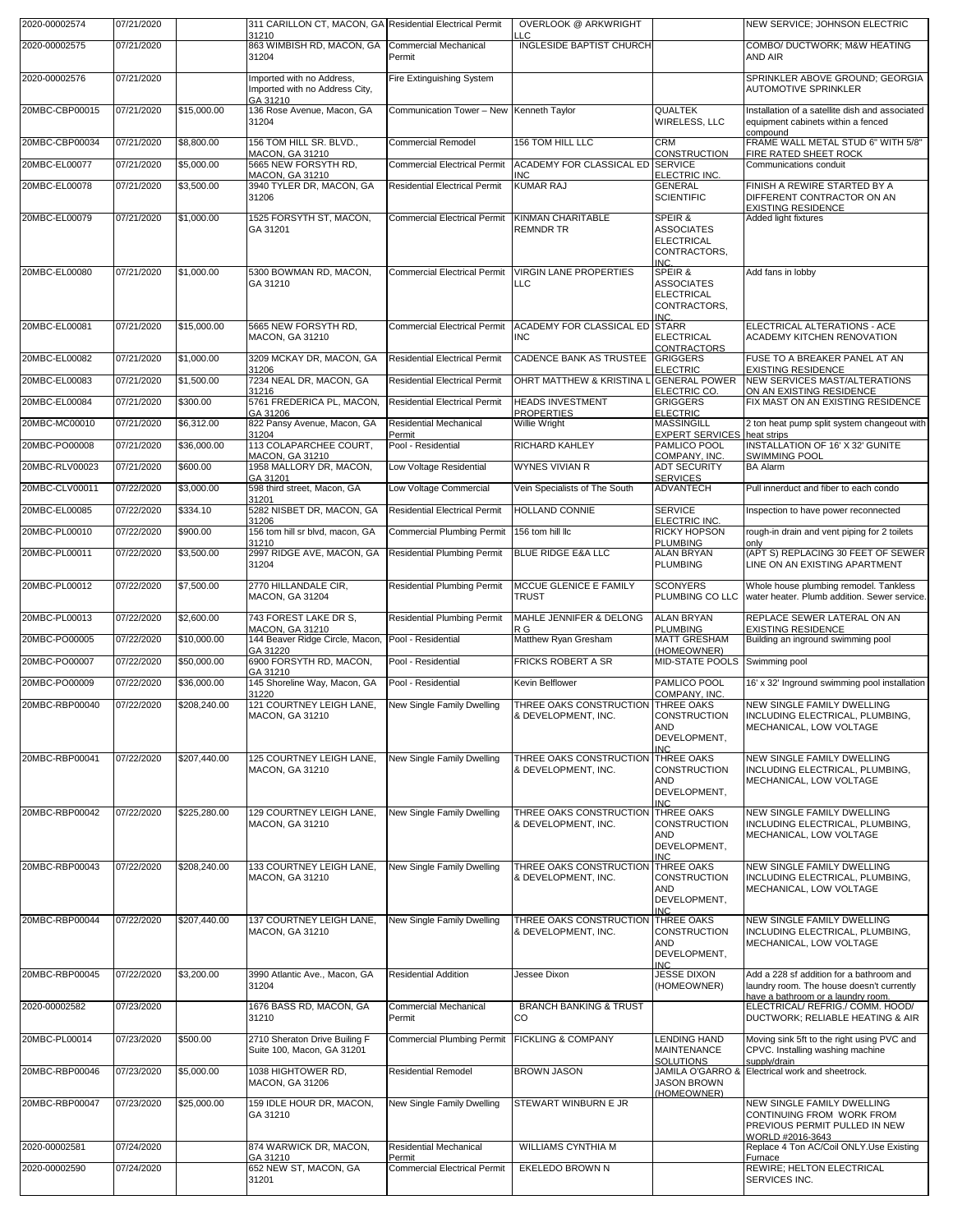| 2020-00002574  | 07/21/2020 |              | 311 CARILLON CT, MACON, GA Residential Electrical Permit<br>31210       |                                          | <b>OVERLOOK @ ARKWRIGHT</b><br>$\overline{C}$             |                                                                                 | NEW SERVICE; JOHNSON ELECTRIC                                                                                |
|----------------|------------|--------------|-------------------------------------------------------------------------|------------------------------------------|-----------------------------------------------------------|---------------------------------------------------------------------------------|--------------------------------------------------------------------------------------------------------------|
| 2020-00002575  | 07/21/2020 |              | 863 WIMBISH RD, MACON, GA<br>31204                                      | <b>Commercial Mechanical</b><br>Permit   | <b>INGLESIDE BAPTIST CHURCH</b>                           |                                                                                 | COMBO/ DUCTWORK; M&W HEATING<br>AND AIR                                                                      |
| 2020-00002576  | 07/21/2020 |              | Imported with no Address,<br>Imported with no Address City,<br>GA 31210 | Fire Extinguishing System                |                                                           |                                                                                 | SPRINKLER ABOVE GROUND; GEORGIA<br><b>AUTOMOTIVE SPRINKLER</b>                                               |
| 20MBC-CBP00015 | 07/21/2020 | \$15,000.00  | 136 Rose Avenue, Macon, GA<br>31204                                     | Communication Tower - New Kenneth Taylor |                                                           | <b>QUALTEK</b><br>WIRELESS, LLC                                                 | Installation of a satellite dish and associated<br>equipment cabinets within a fenced<br>compound            |
| 20MBC-CBP00034 | 07/21/2020 | \$8,800.00   | 156 TOM HILL SR. BLVD.,<br>MACON, GA 31210                              | <b>Commercial Remodel</b>                | 156 TOM HILL LLC                                          | <b>CRM</b><br>CONSTRUCTION                                                      | FRAME WALL METAL STUD 6" WITH 5/8"<br>FIRE RATED SHEET ROCK                                                  |
| 20MBC-EL00077  | 07/21/2020 | \$5,000.00   | 5665 NEW FORSYTH RD,<br>MACON, GA 31210                                 | <b>Commercial Electrical Permit</b>      | ACADEMY FOR CLASSICAL ED SERVICE<br><b>INC</b>            | ELECTRIC INC.                                                                   | Communications conduit                                                                                       |
| 20MBC-EL00078  | 07/21/2020 | \$3,500.00   | 3940 TYLER DR, MACON, GA<br>31206                                       | <b>Residential Electrical Permit</b>     | <b>KUMAR RAJ</b>                                          | <b>GENERAL</b><br><b>SCIENTIFIC</b>                                             | FINISH A REWIRE STARTED BY A<br>DIFFERENT CONTRACTOR ON AN<br><b>EXISTING RESIDENCE</b>                      |
| 20MBC-EL00079  | 07/21/2020 | \$1,000.00   | 1525 FORSYTH ST, MACON,<br>GA 31201                                     | <b>Commercial Electrical Permit</b>      | KINMAN CHARITABLE<br><b>REMNDR TR</b>                     | SPEIR &<br><b>ASSOCIATES</b><br><b>ELECTRICAL</b><br>CONTRACTORS,<br>INC.       | Added light fixtures                                                                                         |
| 20MBC-EL00080  | 07/21/2020 | \$1,000.00   | 5300 BOWMAN RD, MACON,<br>GA 31210                                      | <b>Commercial Electrical Permit</b>      | <b>VIRGIN LANE PROPERTIES</b><br><b>LLC</b>               | SPEIR &<br><b>ASSOCIATES</b><br><b>ELECTRICAL</b><br>CONTRACTORS,<br><b>INC</b> | Add fans in lobby                                                                                            |
| 20MBC-EL00081  | 07/21/2020 | \$15,000.00  | 5665 NEW FORSYTH RD.<br><b>MACON, GA 31210</b>                          | <b>Commercial Electrical Permit</b>      | ACADEMY FOR CLASSICAL ED STARR<br><b>INC</b>              | <b>ELECTRICAL</b><br><b>CONTRACTORS</b>                                         | ELECTRICAL ALTERATIONS - ACE<br>ACADEMY KITCHEN RENOVATION                                                   |
| 20MBC-EL00082  | 07/21/2020 | \$1,000.00   | 3209 MCKAY DR, MACON, GA<br>31206                                       | <b>Residential Electrical Permit</b>     | CADENCE BANK AS TRUSTEE GRIGGERS                          | <b>ELECTRIC</b>                                                                 | FUSE TO A BREAKER PANEL AT AN<br><b>EXISTING RESIDENCE</b>                                                   |
| 20MBC-EL00083  | 07/21/2020 | \$1,500.00   | 7234 NEAL DR, MACON, GA<br>31216                                        | <b>Residential Electrical Permit</b>     | OHRT MATTHEW & KRISTINA L                                 | <b>GENERAL POWER</b><br>ELECTRIC CO.                                            | NEW SERVICES MAST/ALTERATIONS<br>ON AN EXISTING RESIDENCE                                                    |
| 20MBC-EL00084  | 07/21/2020 | \$300.00     | 5761 FREDERICA PL, MACON,                                               | <b>Residential Electrical Permit</b>     | <b>HEADS INVESTMENT</b>                                   | <b>GRIGGERS</b>                                                                 | FIX MAST ON AN EXISTING RESIDENCE                                                                            |
| 20MBC-MC00010  | 07/21/2020 | \$6,312.00   | GA 31206<br>822 Pansy Avenue, Macon, GA                                 | <b>Residential Mechanical</b>            | <b>PROPERTIES</b><br><b>Willie Wright</b>                 | <b>ELECTRIC</b><br>MASSINGILL                                                   | 2 ton heat pump split system changeout with                                                                  |
| 20MBC-PO00008  | 07/21/2020 | \$36,000.00  | 31204<br>113 COLAPARCHEE COURT,                                         | Permit<br>Pool - Residential             | <b>RICHARD KAHLEY</b>                                     | <b>EXPERT SERVICES</b><br>PAMLICO POOL                                          | heat strips<br><b>INSTALLATION OF 16' X 32' GUNITE</b>                                                       |
| 20MBC-RLV00023 | 07/21/2020 | \$600.00     | MACON, GA 31210<br>1958 MALLORY DR, MACON,                              | Low Voltage Residential                  | <b>WYNES VIVIAN R</b>                                     | COMPANY, INC.<br><b>ADT SECURITY</b>                                            | <b>SWIMMING POOL</b><br><b>BA Alarm</b>                                                                      |
| 20MBC-CLV00011 | 07/22/2020 | \$3,000.00   | GA 31201<br>598 third street, Macon, GA                                 | Low Voltage Commercial                   | Vein Specialists of The South                             | <b>SERVICES</b><br><b>ADVANTECH</b>                                             | Pull innerduct and fiber to each condo                                                                       |
| 20MBC-EL00085  | 07/22/2020 | \$334.10     | 31201<br>5282 NISBET DR, MACON, GA                                      | <b>Residential Electrical Permit</b>     | HOLLAND CONNIE                                            | <b>SERVICE</b>                                                                  |                                                                                                              |
|                |            |              | 31206                                                                   |                                          |                                                           | ELECTRIC INC.                                                                   | Inspection to have power reconnected                                                                         |
| 20MBC-PL00010  | 07/22/2020 | \$900.00     | 156 tom hill sr blvd, macon, GA<br>31210                                | <b>Commercial Plumbing Permit</b>        | 156 tom hill llc                                          | RICKY HOPSON<br><b>PLUMBING</b>                                                 | rough-in drain and vent piping for 2 toilets<br>only                                                         |
| 20MBC-PL00011  | 07/22/2020 | \$3,500.00   | 2997 RIDGE AVE, MACON, GA<br>31204                                      | <b>Residential Plumbing Permit</b>       | BLUE RIDGE E&A LLC                                        | <b>ALAN BRYAN</b><br><b>PLUMBING</b>                                            | (APT S) REPLACING 30 FEET OF SEWER<br>LINE ON AN EXISTING APARTMENT                                          |
| 20MBC-PL00012  | 07/22/2020 | \$7,500.00   | 2770 HILLANDALE CIR,<br>MACON, GA 31204                                 | <b>Residential Plumbing Permit</b>       | MCCUE GLENICE E FAMILY<br><b>TRUST</b>                    | <b>SCONYERS</b><br>PLUMBING CO LLC                                              | Whole house plumbing remodel. Tankless<br>water heater. Plumb addition. Sewer service.                       |
| 20MBC-PL00013  | 07/22/2020 | \$2,600.00   | 743 FOREST LAKE DR S,<br>MACON, GA 31210                                | <b>Residential Plumbing Permit</b>       | MAHLE JENNIFER & DELONG<br>R G                            | <b>ALAN BRYAN</b><br><b>PLUMBING</b>                                            | REPLACE SEWER LATERAL ON AN<br><b>EXISTING RESIDENCE</b>                                                     |
| 20MBC-PO00005  | 07/22/2020 | \$10,000.00  | 144 Beaver Ridge Circle, Macon,<br>GA 31220                             | Pool - Residential                       | Matthew Ryan Gresham                                      | <b>MATT GRESHAM</b><br>HOMEOWNER)                                               | Building an inground swimming pool                                                                           |
| 20MBC-PO00007  | 07/22/2020 | \$50,000.00  | 6900 FORSYTH RD, MACON.<br>GA 31210                                     | Pool - Residential                       | <b>FRICKS ROBERT A SR</b>                                 | <b>MID-STATE POOLS</b>                                                          | Swimming pool                                                                                                |
| 20MBC-PO00009  | 07/22/2020 | \$36,000.00  | 145 Shoreline Way, Macon, GA<br>31220                                   | Pool - Residential                       | Kevin Belflower                                           | PAMLICO POOL<br>COMPANY, INC.                                                   | 16' x 32' Inground swimming pool installation                                                                |
| 20MBC-RBP00040 | 07/22/2020 | \$208,240.00 | 121 COURTNEY LEIGH LANE,<br>MACON, GA 31210                             | New Single Family Dwelling               | THREE OAKS CONSTRUCTION THREE OAKS<br>& DEVELOPMENT, INC. | <b>CONSTRUCTION</b><br>AND<br>DEVELOPMENT,<br><b>INC</b>                        | NEW SINGLE FAMILY DWELLING<br>INCLUDING ELECTRICAL, PLUMBING,<br>MECHANICAL, LOW VOLTAGE                     |
| 20MBC-RBP00041 | 07/22/2020 | \$207,440.00 | 125 COURTNEY LEIGH LANE,<br>MACON, GA 31210                             | New Single Family Dwelling               | THREE OAKS CONSTRUCTION<br>& DEVELOPMENT, INC.            | THREE OAKS<br>CONSTRUCTION<br>AND<br>DEVELOPMENT,<br>IN <sub>C</sub>            | NEW SINGLE FAMILY DWELLING<br>INCLUDING ELECTRICAL, PLUMBING,<br>MECHANICAL, LOW VOLTAGE                     |
| 20MBC-RBP00042 | 07/22/2020 | \$225,280.00 | 129 COURTNEY LEIGH LANE,<br>MACON, GA 31210                             | New Single Family Dwelling               | THREE OAKS CONSTRUCTION<br>& DEVELOPMENT, INC.            | THREE OAKS<br>CONSTRUCTION<br>AND<br>DEVELOPMENT,<br><b>INC</b>                 | NEW SINGLE FAMILY DWELLING<br>INCLUDING ELECTRICAL, PLUMBING,<br>MECHANICAL, LOW VOLTAGE                     |
| 20MBC-RBP00043 | 07/22/2020 | \$208,240.00 | 133 COURTNEY LEIGH LANE,<br><b>MACON, GA 31210</b>                      | New Single Family Dwelling               | THREE OAKS CONSTRUCTION<br>& DEVELOPMENT, INC.            | <b>THREE OAKS</b><br>CONSTRUCTION<br>AND<br>DEVELOPMENT,<br><b>INC</b>          | NEW SINGLE FAMILY DWELLING<br>INCLUDING ELECTRICAL, PLUMBING,<br>MECHANICAL, LOW VOLTAGE                     |
| 20MBC-RBP00044 | 07/22/2020 | \$207,440.00 | 137 COURTNEY LEIGH LANE,<br>MACON, GA 31210                             | New Single Family Dwelling               | THREE OAKS CONSTRUCTION<br>& DEVELOPMENT, INC.            | <b>THREE OAKS</b><br><b>CONSTRUCTION</b><br>AND<br>DEVELOPMENT,<br><b>INC</b>   | NEW SINGLE FAMILY DWELLING<br>INCLUDING ELECTRICAL, PLUMBING,<br>MECHANICAL, LOW VOLTAGE                     |
| 20MBC-RBP00045 | 07/22/2020 | \$3,200.00   | 3990 Atlantic Ave., Macon, GA<br>31204                                  | <b>Residential Addition</b>              | Jessee Dixon                                              | <b>JESSE DIXON</b><br>(HOMEOWNER)                                               | Add a 228 sf addition for a bathroom and<br>laundry room. The house doesn't currently                        |
| 2020-00002582  | 07/23/2020 |              | 1676 BASS RD, MACON, GA<br>31210                                        | <b>Commercial Mechanical</b><br>Permit   | <b>BRANCH BANKING &amp; TRUST</b><br>CO                   |                                                                                 | have a bathroom or a laundry room.<br>ELECTRICAL/ REFRIG./ COMM. HOOD/<br>DUCTWORK; RELIABLE HEATING & AIR   |
| 20MBC-PL00014  | 07/23/2020 | \$500.00     | 2710 Sheraton Drive Builing F<br>Suite 100, Macon, GA 31201             | <b>Commercial Plumbing Permit</b>        | <b>FICKLING &amp; COMPANY</b>                             | <b>LENDING HAND</b><br>MAINTENANCE<br><b>SOLUTIONS</b>                          | Moving sink 5ft to the right using PVC and<br>CPVC. Installing washing machine<br>supply/drain               |
| 20MBC-RBP00046 | 07/23/2020 | \$5,000.00   | 1038 HIGHTOWER RD,<br>MACON, GA 31206                                   | <b>Residential Remodel</b>               | <b>BROWN JASON</b>                                        | JAMILA O'GARRO 8<br><b>JASON BROWN</b>                                          | Electrical work and sheetrock.                                                                               |
| 20MBC-RBP00047 | 07/23/2020 | \$25,000.00  | 159 IDLE HOUR DR, MACON,<br>GA 31210                                    | New Single Family Dwelling               | STEWART WINBURN E JR                                      | (HOMEOWNER)                                                                     | NEW SINGLE FAMILY DWELLING<br>CONTINUING FROM WORK FROM<br>PREVIOUS PERMIT PULLED IN NEW<br>WORLD #2016-3643 |
| 2020-00002581  | 07/24/2020 |              | 874 WARWICK DR, MACON,<br>GA 31210                                      | <b>Residential Mechanical</b><br>Permit  | WILLIAMS CYNTHIA M                                        |                                                                                 | Replace 4 Ton AC/Coil ONLY.Use Existing<br>Furnace                                                           |
| 2020-00002590  | 07/24/2020 |              | 652 NEW ST, MACON, GA                                                   | <b>Commercial Electrical Permit</b>      | EKELEDO BROWN N                                           |                                                                                 | REWIRE; HELTON ELECTRICAL<br>SERVICES INC.                                                                   |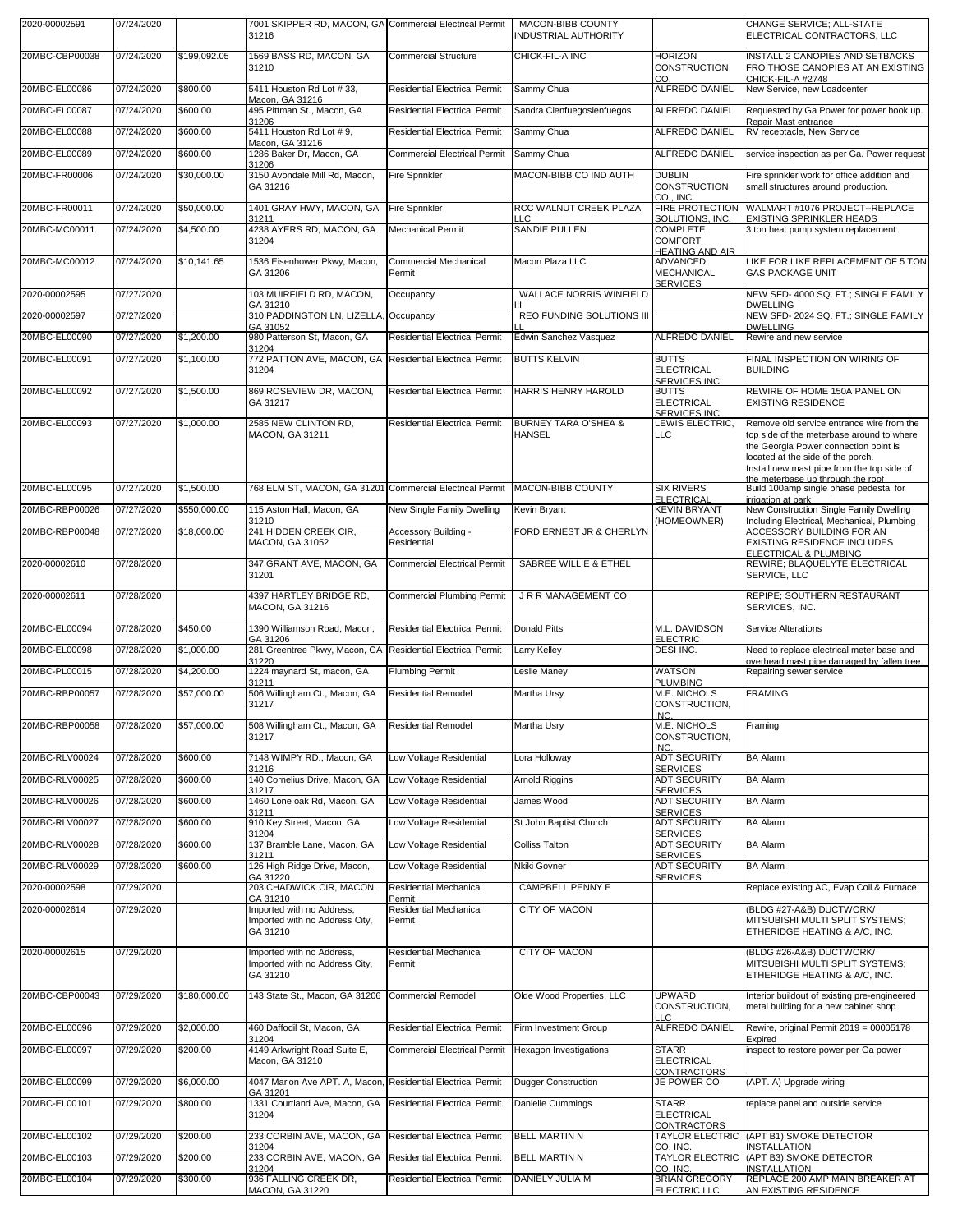| 2020-00002591  | 07/24/2020 |              | 7001 SKIPPER RD, MACON, GA Commercial Electrical Permit<br>31216        |                                      | MACON-BIBB COUNTY<br><b>INDUSTRIAL AUTHORITY</b> |                                                  | CHANGE SERVICE; ALL-STATE<br>ELECTRICAL CONTRACTORS, LLC                                     |
|----------------|------------|--------------|-------------------------------------------------------------------------|--------------------------------------|--------------------------------------------------|--------------------------------------------------|----------------------------------------------------------------------------------------------|
| 20MBC-CBP00038 | 07/24/2020 | \$199,092.05 | 1569 BASS RD, MACON, GA<br>31210                                        | <b>Commercial Structure</b>          | CHICK-FIL-A INC                                  | <b>HORIZON</b><br>CONSTRUCTION                   | <b>INSTALL 2 CANOPIES AND SETBACKS</b><br>FRO THOSE CANOPIES AT AN EXISTING                  |
| 20MBC-EL00086  | 07/24/2020 | \$800.00     | 5411 Houston Rd Lot #33,                                                | <b>Residential Electrical Permit</b> | Sammy Chua                                       | CO.<br><b>ALFREDO DANIEL</b>                     | CHICK-FIL-A #2748<br>New Service, new Loadcenter                                             |
| 20MBC-EL00087  | 07/24/2020 | \$600.00     | Macon, GA 31216<br>495 Pittman St., Macon, GA                           | <b>Residential Electrical Permit</b> | Sandra Cienfuegosienfuegos                       | ALFREDO DANIEL                                   | Requested by Ga Power for power hook up.                                                     |
| 20MBC-EL00088  | 07/24/2020 | \$600.00     | 31206<br>5411 Houston Rd Lot #9,                                        | <b>Residential Electrical Permit</b> | Sammy Chua                                       | <b>ALFREDO DANIEL</b>                            | Repair Mast entrance<br>RV receptacle, New Service                                           |
| 20MBC-EL00089  | 07/24/2020 | \$600.00     | Macon, GA 31216<br>1286 Baker Dr, Macon, GA                             | <b>Commercial Electrical Permit</b>  | Sammy Chua                                       | ALFREDO DANIEL                                   | service inspection as per Ga. Power request                                                  |
| 20MBC-FR00006  | 07/24/2020 | \$30,000.00  | 31206<br>3150 Avondale Mill Rd. Macon.                                  | <b>Fire Sprinkler</b>                | MACON-BIBB CO IND AUTH                           | <b>DUBLIN</b>                                    | Fire sprinkler work for office addition and                                                  |
|                |            |              | GA 31216                                                                |                                      |                                                  | CONSTRUCTION<br>CO., INC.                        | small structures around production.                                                          |
| 20MBC-FR00011  | 07/24/2020 | \$50,000.00  | 1401 GRAY HWY, MACON, GA<br>31211                                       | <b>Fire Sprinkler</b>                | RCC WALNUT CREEK PLAZA<br>LLC                    | <b>FIRE PROTECTION</b><br>SOLUTIONS, INC.        | WALMART #1076 PROJECT--REPLACE<br>EXISTING SPRINKLER HEADS                                   |
| 20MBC-MC00011  | 07/24/2020 | \$4,500.00   | 4238 AYERS RD, MACON, GA<br>31204                                       | Mechanical Permit                    | SANDIE PULLEN                                    | <b>COMPLETE</b><br><b>COMFORT</b>                | 3 ton heat pump system replacement                                                           |
| 20MBC-MC00012  | 07/24/2020 | \$10,141.65  | 1536 Eisenhower Pkwy, Macon,                                            | <b>Commercial Mechanical</b>         | Macon Plaza LLC                                  | <b>HEATING AND AIR</b><br>ADVANCED               | LIKE FOR LIKE REPLACEMENT OF 5 TON                                                           |
|                |            |              | GA 31206                                                                | Permit                               |                                                  | MECHANICAL<br><b>SERVICES</b>                    | <b>GAS PACKAGE UNIT</b>                                                                      |
| 2020-00002595  | 07/27/2020 |              | 103 MUIRFIELD RD, MACON,<br>GA 31210                                    | Occupancy                            | <b>WALLACE NORRIS WINFIELD</b>                   |                                                  | NEW SFD- 4000 SQ. FT.; SINGLE FAMILY<br><b>DWELLING</b>                                      |
| 2020-00002597  | 07/27/2020 |              | 310 PADDINGTON LN, LIZELLA<br>GA 31052                                  | Occupancy                            | <b>REO FUNDING SOLUTIONS III</b>                 |                                                  | NEW SFD-2024 SQ. FT.; SINGLE FAMILY<br><b>DWELLING</b>                                       |
| 20MBC-EL00090  | 07/27/2020 | \$1,200.00   | 980 Patterson St, Macon, GA<br>31204                                    | <b>Residential Electrical Permit</b> | Edwin Sanchez Vasquez                            | <b>ALFREDO DANIEL</b>                            | Rewire and new service                                                                       |
| 20MBC-EL00091  | 07/27/2020 | \$1,100.00   | 772 PATTON AVE, MACON, GA<br>31204                                      | <b>Residential Electrical Permit</b> | <b>BUTTS KELVIN</b>                              | <b>BUTTS</b><br><b>ELECTRICAL</b>                | FINAL INSPECTION ON WIRING OF<br><b>BUILDING</b>                                             |
| 20MBC-EL00092  | 07/27/2020 | \$1,500.00   | 869 ROSEVIEW DR, MACON,                                                 | <b>Residential Electrical Permit</b> | HARRIS HENRY HAROLD                              | SERVICES INC.<br><b>BUTTS</b>                    | REWIRE OF HOME 150A PANEL ON                                                                 |
|                |            |              | GA 31217                                                                |                                      |                                                  | <b>ELECTRICAL</b><br><b>SERVICES INC.</b>        | <b>EXISTING RESIDENCE</b>                                                                    |
| 20MBC-EL00093  | 07/27/2020 | \$1,000.00   | 2585 NEW CLINTON RD,<br><b>MACON, GA 31211</b>                          | <b>Residential Electrical Permit</b> | <b>BURNEY TARA O'SHEA &amp;</b><br><b>HANSEL</b> | LEWIS ELECTRIC,<br><b>LLC</b>                    | Remove old service entrance wire from the<br>top side of the meterbase around to where       |
|                |            |              |                                                                         |                                      |                                                  |                                                  | the Georgia Power connection point is                                                        |
|                |            |              |                                                                         |                                      |                                                  |                                                  | located at the side of the porch.<br>Install new mast pipe from the top side of              |
| 20MBC-EL00095  | 07/27/2020 | \$1,500.00   | 768 ELM ST, MACON, GA 31201                                             | <b>Commercial Electrical Permit</b>  | MACON-BIBB COUNTY                                | <b>SIX RIVERS</b>                                | the meterbase up through the roof<br>Build 100amp single phase pedestal for                  |
| 20MBC-RBP00026 | 07/27/2020 | \$550,000.00 | 115 Aston Hall, Macon, GA                                               | New Single Family Dwelling           | Kevin Bryant                                     | <b>ELECTRICAL</b><br><b>KEVIN BRYANT</b>         | irrigation at park<br>New Construction Single Family Dwelling                                |
| 20MBC-RBP00048 | 07/27/2020 | \$18,000.00  | 31210<br>241 HIDDEN CREEK CIR,                                          | Accessory Building -                 | FORD ERNEST JR & CHERLYN                         | HOMEOWNER)                                       | Including Electrical, Mechanical, Plumbing<br>ACCESSORY BUILDING FOR AN                      |
|                |            |              | <b>MACON, GA 31052</b>                                                  | Residential                          |                                                  |                                                  | EXISTING RESIDENCE INCLUDES<br>ELECTRICAL & PLUMBING                                         |
| 2020-00002610  | 07/28/2020 |              | 347 GRANT AVE, MACON, GA<br>31201                                       | <b>Commercial Electrical Permit</b>  | SABREE WILLIE & ETHEL                            |                                                  | REWIRE; BLAQUELYTE ELECTRICAL<br>SERVICE, LLC                                                |
|                |            |              |                                                                         |                                      |                                                  |                                                  |                                                                                              |
| 2020-00002611  | 07/28/2020 |              | 4397 HARTLEY BRIDGE RD,                                                 | <b>Commercial Plumbing Permit</b>    | J R R MANAGEMENT CO                              |                                                  | REPIPE; SOUTHERN RESTAURANT                                                                  |
|                |            |              | MACON, GA 31216                                                         |                                      |                                                  |                                                  | SERVICES, INC.                                                                               |
| 20MBC-EL00094  | 07/28/2020 | \$450.00     | 1390 Williamson Road, Macon,<br>GA 31206                                | Residential Electrical Permit        | <b>Donald Pitts</b>                              | M.L. DAVIDSON<br><b>ELECTRIC</b>                 | Service Alterations                                                                          |
| 20MBC-EL00098  | 07/28/2020 | \$1,000.00   | 281 Greentree Pkwy, Macon, GA Residential Electrical Permit<br>31220    |                                      | Larry Kelley                                     | DESI INC.                                        | Need to replace electrical meter base and<br>overhead mast pipe damaged by fallen tree.      |
| 20MBC-PL00015  | 07/28/2020 | \$4,200.00   | 1224 maynard St, macon, GA<br>31211                                     | <b>Plumbing Permit</b>               | Leslie Maney                                     | <b>WATSON</b><br><b>PLUMBING</b>                 | Repairing sewer service                                                                      |
| 20MBC-RBP00057 | 07/28/2020 | \$57,000.00  | 506 Willingham Ct., Macon, GA<br>31217                                  | Residential Remodel                  | Martha Ursy                                      | M.E. NICHOLS<br>CONSTRUCTION,                    | <b>FRAMING</b>                                                                               |
| 20MBC-RBP00058 | 07/28/2020 | \$57,000.00  | 508 Willingham Ct., Macon, GA                                           | <b>Residential Remodel</b>           | Martha Usry                                      | INC.<br>M.E. NICHOLS                             | Framing                                                                                      |
|                |            |              | 31217                                                                   |                                      |                                                  | CONSTRUCTION,<br>INC.                            |                                                                                              |
| 20MBC-RLV00024 | 07/28/2020 | \$600.00     | 7148 WIMPY RD., Macon, GA<br>31216                                      | Low Voltage Residential              | Lora Holloway                                    | <b>ADT SECURITY</b><br><b>SERVICES</b>           | <b>BA Alarm</b>                                                                              |
| 20MBC-RLV00025 | 07/28/2020 | \$600.00     | 140 Cornelius Drive, Macon, GA<br>31217                                 | Low Voltage Residential              | Arnold Riggins                                   | <b>ADT SECURITY</b><br><b>SERVICES</b>           | <b>BA Alarm</b>                                                                              |
| 20MBC-RLV00026 | 07/28/2020 | \$600.00     | 1460 Lone oak Rd, Macon, GA<br>31211                                    | Low Voltage Residential              | James Wood                                       | <b>ADT SECURITY</b><br><b>SERVICES</b>           | <b>BA Alarm</b>                                                                              |
| 20MBC-RLV00027 | 07/28/2020 | \$600.00     | 910 Key Street, Macon, GA<br>31204                                      | Low Voltage Residential              | St John Baptist Church                           | <b>ADT SECURITY</b><br><b>SERVICES</b>           | <b>BA Alarm</b>                                                                              |
| 20MBC-RLV00028 | 07/28/2020 | \$600.00     | 137 Bramble Lane, Macon, GA<br>31211                                    | Low Voltage Residential              | <b>Colliss Talton</b>                            | <b>ADT SECURITY</b><br><b>SERVICES</b>           | <b>BA Alarm</b>                                                                              |
| 20MBC-RLV00029 | 07/28/2020 | \$600.00     | 126 High Ridge Drive, Macon,<br>GA 31220                                | Low Voltage Residential              | Nkiki Govner                                     | <b>ADT SECURITY</b><br><b>SERVICES</b>           | <b>BA Alarm</b>                                                                              |
| 2020-00002598  | 07/29/2020 |              | 203 CHADWICK CIR, MACON,<br>GA 31210                                    | Residential Mechanical<br>Permit     | <b>CAMPBELL PENNY E</b>                          |                                                  | Replace existing AC, Evap Coil & Furnace                                                     |
| 2020-00002614  | 07/29/2020 |              | Imported with no Address,<br>Imported with no Address City,<br>GA 31210 | Residential Mechanical<br>Permit     | CITY OF MACON                                    |                                                  | (BLDG #27-A&B) DUCTWORK/<br>MITSUBISHI MULTI SPLIT SYSTEMS;<br>ETHERIDGE HEATING & A/C, INC. |
| 2020-00002615  | 07/29/2020 |              | Imported with no Address,<br>Imported with no Address City,<br>GA 31210 | Residential Mechanical<br>Permit     | <b>CITY OF MACON</b>                             |                                                  | (BLDG #26-A&B) DUCTWORK/<br>MITSUBISHI MULTI SPLIT SYSTEMS;<br>ETHERIDGE HEATING & A/C, INC. |
| 20MBC-CBP00043 | 07/29/2020 | \$180,000.00 | 143 State St., Macon, GA 31206                                          | Commercial Remodel                   | Olde Wood Properties, LLC                        | <b>UPWARD</b>                                    | Interior buildout of existing pre-engineered                                                 |
|                |            |              |                                                                         |                                      |                                                  | CONSTRUCTION,<br>LLC                             | metal building for a new cabinet shop                                                        |
| 20MBC-EL00096  | 07/29/2020 | \$2,000.00   | 460 Daffodil St, Macon, GA<br>31204                                     | <b>Residential Electrical Permit</b> | Firm Investment Group                            | <b>ALFREDO DANIEL</b>                            | Rewire, original Permit 2019 = 00005178<br>Expired                                           |
| 20MBC-EL00097  | 07/29/2020 | \$200.00     | 4149 Arkwright Road Suite E,<br>Macon, GA 31210                         | <b>Commercial Electrical Permit</b>  | Hexagon Investigations                           | <b>STARR</b><br><b>ELECTRICAL</b><br>CONTRACTORS | inspect to restore power per Ga power                                                        |
| 20MBC-EL00099  | 07/29/2020 | \$6,000.00   | 4047 Marion Ave APT. A, Macon,<br>GA 31201                              | <b>Residential Electrical Permit</b> | <b>Dugger Construction</b>                       | JE POWER CO                                      | (APT. A) Upgrade wiring                                                                      |
| 20MBC-EL00101  | 07/29/2020 | \$800.00     | 1331 Courtland Ave, Macon, GA<br>31204                                  | <b>Residential Electrical Permit</b> | Danielle Cummings                                | <b>STARR</b><br><b>ELECTRICAL</b>                | replace panel and outside service                                                            |
| 20MBC-EL00102  | 07/29/2020 | \$200.00     | 233 CORBIN AVE, MACON, GA                                               | <b>Residential Electrical Permit</b> | <b>BELL MARTIN N</b>                             | <b>CONTRACTORS</b><br>TAYLOR ELECTRIC            | (APT B1) SMOKE DETECTOR                                                                      |
| 20MBC-EL00103  | 07/29/2020 | \$200.00     | 31204<br>233 CORBIN AVE, MACON, GA                                      | <b>Residential Electrical Permit</b> | <b>BELL MARTIN N</b>                             | CO. INC.<br><b>TAYLOR ELECTRIC</b>               | <b>INSTALLATION</b><br>(APT B3) SMOKE DETECTOR                                               |
| 20MBC-EL00104  | 07/29/2020 | \$300.00     | 31204<br>936 FALLING CREEK DR,                                          | <b>Residential Electrical Permit</b> | DANIELY JULIA M                                  | CO. INC.<br><b>BRIAN GREGORY</b>                 | <b>INSTALLATION</b><br>REPLACE 200 AMP MAIN BREAKER AT                                       |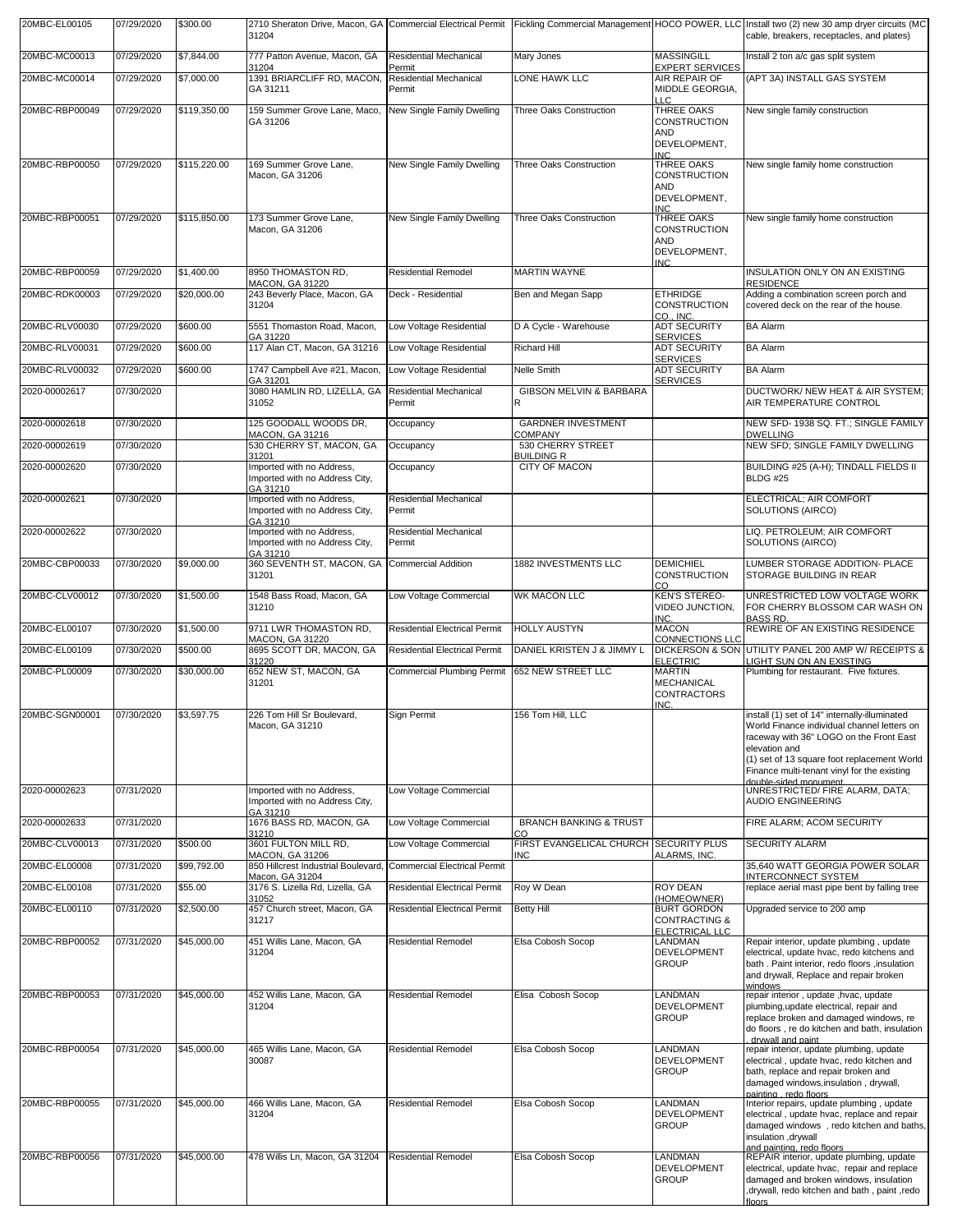| 20MBC-EL00105  | 07/29/2020 | \$300.00     | 31204                                                                   |                                                   |                                                      |                                                                                | 2710 Sheraton Drive, Macon, GA   Commercial Electrical Permit   Fickling Commercial Management   HOCO POWER, LLC   Install two (2) new 30 amp dryer circuits (MC<br>cable, breakers, receptacles, and plates)                                          |
|----------------|------------|--------------|-------------------------------------------------------------------------|---------------------------------------------------|------------------------------------------------------|--------------------------------------------------------------------------------|--------------------------------------------------------------------------------------------------------------------------------------------------------------------------------------------------------------------------------------------------------|
| 20MBC-MC00013  | 07/29/2020 | \$7,844.00   | 777 Patton Avenue, Macon, GA                                            | <b>Residential Mechanical</b>                     | Mary Jones                                           | <b>MASSINGILL</b>                                                              | Install 2 ton a/c gas split system                                                                                                                                                                                                                     |
| 20MBC-MC00014  | 07/29/2020 | \$7,000.00   | 31204<br>1391 BRIARCLIFF RD, MACON,<br>GA 31211                         | Permit<br><b>Residential Mechanical</b><br>Permit | LONE HAWK LLC                                        | <b>EXPERT SERVICES</b><br>AIR REPAIR OF<br>MIDDLE GEORGIA,                     | (APT 3A) INSTALL GAS SYSTEM                                                                                                                                                                                                                            |
| 20MBC-RBP00049 | 07/29/2020 | \$119,350.00 | 159 Summer Grove Lane, Maco,                                            | New Single Family Dwelling                        | Three Oaks Construction                              | LLC<br>THREE OAKS                                                              | New single family construction                                                                                                                                                                                                                         |
|                |            |              | GA 31206                                                                |                                                   |                                                      | <b>CONSTRUCTION</b><br>AND<br>DEVELOPMENT,                                     |                                                                                                                                                                                                                                                        |
| 20MBC-RBP00050 | 07/29/2020 | \$115,220.00 | 169 Summer Grove Lane,                                                  | New Single Family Dwelling                        | Three Oaks Construction                              | <b>INC</b><br>THREE OAKS                                                       | New single family home construction                                                                                                                                                                                                                    |
|                |            |              | Macon, GA 31206                                                         |                                                   |                                                      | CONSTRUCTION<br>AND<br>DEVELOPMENT.<br><b>INC</b>                              |                                                                                                                                                                                                                                                        |
| 20MBC-RBP00051 | 07/29/2020 | \$115,850.00 | 173 Summer Grove Lane,<br>Macon, GA 31206                               | New Single Family Dwelling                        | Three Oaks Construction                              | THREE OAKS<br><b>CONSTRUCTION</b><br>AND<br>DEVELOPMENT,                       | New single family home construction                                                                                                                                                                                                                    |
| 20MBC-RBP00059 | 07/29/2020 | \$1,400.00   | 8950 THOMASTON RD,                                                      | <b>Residential Remodel</b>                        | <b>MARTIN WAYNE</b>                                  | INC.                                                                           | INSULATION ONLY ON AN EXISTING                                                                                                                                                                                                                         |
| 20MBC-RDK00003 | 07/29/2020 | \$20,000.00  | MACON, GA 31220<br>243 Beverly Place, Macon, GA                         | Deck - Residential                                | Ben and Megan Sapp                                   | <b>ETHRIDGE</b>                                                                | <b>RESIDENCE</b><br>Adding a combination screen porch and                                                                                                                                                                                              |
|                |            |              | 31204                                                                   |                                                   |                                                      | <b>CONSTRUCTION</b><br>CO., INC.                                               | covered deck on the rear of the house.                                                                                                                                                                                                                 |
| 20MBC-RLV00030 | 07/29/2020 | \$600.00     | 5551 Thomaston Road, Macon,<br>GA 31220                                 | Low Voltage Residential                           | D A Cycle - Warehouse                                | <b>ADT SECURITY</b><br><b>SERVICES</b>                                         | <b>BA Alarm</b>                                                                                                                                                                                                                                        |
| 20MBC-RLV00031 | 07/29/2020 | \$600.00     | 117 Alan CT, Macon, GA 31216                                            | Low Voltage Residential                           | <b>Richard Hill</b>                                  | <b>ADT SECURITY</b><br><b>SERVICES</b>                                         | <b>BA Alarm</b>                                                                                                                                                                                                                                        |
| 20MBC-RLV00032 | 07/29/2020 | \$600.00     | 1747 Campbell Ave #21, Macon,<br>GA 31201                               | Low Voltage Residential                           | Nelle Smith                                          | <b>ADT SECURITY</b><br><b>SERVICES</b>                                         | <b>BA Alarm</b>                                                                                                                                                                                                                                        |
| 2020-00002617  | 07/30/2020 |              | 3080 HAMLIN RD. LIZELLA. GA<br>31052                                    | <b>Residential Mechanical</b><br>Permit           | GIBSON MELVIN & BARBARA<br>R                         |                                                                                | DUCTWORK/ NEW HEAT & AIR SYSTEM;<br>AIR TEMPERATURE CONTROL                                                                                                                                                                                            |
| 2020-00002618  | 07/30/2020 |              | 125 GOODALL WOODS DR.<br>MACON, GA 31216                                | Occupancy                                         | <b>GARDNER INVESTMENT</b><br><b>COMPANY</b>          |                                                                                | NEW SFD- 1938 SQ. FT.; SINGLE FAMILY<br><b>DWELLING</b>                                                                                                                                                                                                |
| 2020-00002619  | 07/30/2020 |              | 530 CHERRY ST, MACON, GA<br>31201                                       | Occupancy                                         | 530 CHERRY STREET<br>Building R                      |                                                                                | NEW SFD; SINGLE FAMILY DWELLING                                                                                                                                                                                                                        |
| 2020-00002620  | 07/30/2020 |              | Imported with no Address,<br>Imported with no Address City,<br>GA 31210 | Occupancy                                         | CITY OF MACON                                        |                                                                                | BUILDING #25 (A-H); TINDALL FIELDS II<br><b>BLDG #25</b>                                                                                                                                                                                               |
| 2020-00002621  | 07/30/2020 |              | Imported with no Address,<br>Imported with no Address City,<br>GA 31210 | <b>Residential Mechanical</b><br>Permit           |                                                      |                                                                                | ELECTRICAL; AIR COMFORT<br>SOLUTIONS (AIRCO)                                                                                                                                                                                                           |
| 2020-00002622  | 07/30/2020 |              | Imported with no Address,<br>Imported with no Address City,<br>GA 31210 | <b>Residential Mechanical</b><br>Permit           |                                                      |                                                                                | LIQ. PETROLEUM; AIR COMFORT<br>SOLUTIONS (AIRCO)                                                                                                                                                                                                       |
| 20MBC-CBP00033 | 07/30/2020 | \$9,000.00   | 360 SEVENTH ST, MACON, GA<br>31201                                      | <b>Commercial Addition</b>                        | 1882 INVESTMENTS LLC                                 | <b>DEMICHIEL</b><br><b>CONSTRUCTION</b><br>CO                                  | LUMBER STORAGE ADDITION- PLACE<br>STORAGE BUILDING IN REAR                                                                                                                                                                                             |
| 20MBC-CLV00012 | 07/30/2020 | \$1,500.00   | 1548 Bass Road, Macon, GA<br>31210                                      | Low Voltage Commercial                            | <b>WK MACON LLC</b>                                  | <b>KEN'S STEREO-</b><br>VIDEO JUNCTION,<br>INC.                                | UNRESTRICTED LOW VOLTAGE WORK<br>FOR CHERRY BLOSSOM CAR WASH ON<br><b>BASS RD</b>                                                                                                                                                                      |
| 20MBC-EL00107  | 07/30/2020 | \$1,500.00   | 9711 LWR THOMASTON RD,<br>MACON, GA 31220                               | <b>Residential Electrical Permit</b>              | <b>HOLLY AUSTYN</b>                                  | <b>MACON</b><br><b>CONNECTIONS LLC</b>                                         | REWIRE OF AN EXISTING RESIDENCE                                                                                                                                                                                                                        |
| 20MBC-EL00109  | 07/30/2020 | \$500.00     | 8695 SCOTT DR, MACON, GA<br>31220                                       | <b>Residential Electrical Permit</b>              | DANIEL KRISTEN J & JIMMY L                           | <b>ELECTRIC</b>                                                                | DICKERSON & SON UTILITY PANEL 200 AMP W/ RECEIPTS &<br>LIGHT SUN ON AN EXISTING                                                                                                                                                                        |
| 20MBC-PL00009  | 07/30/2020 | \$30,000.00  | 652 NEW ST, MACON, GA<br>31201                                          | <b>Commercial Plumbing Permit</b>                 | 652 NEW STREET LLC                                   | <b>MARTIN</b><br>MECHANICAL<br><b>CONTRACTORS</b><br>INC.                      | Plumbing for restaurant. Five fixtures.                                                                                                                                                                                                                |
| 20MBC-SGN00001 | 07/30/2020 | \$3,597.75   | 226 Tom Hill Sr Boulevard,<br>Macon, GA 31210                           | Sign Permit                                       | 156 Tom Hill. LLC                                    |                                                                                | install (1) set of 14" internally-illuminated<br>World Finance individual channel letters on<br>raceway with 36" LOGO on the Front East<br>elevation and<br>(1) set of 13 square foot replacement World<br>Finance multi-tenant vinyl for the existing |
| 2020-00002623  | 07/31/2020 |              | Imported with no Address,<br>Imported with no Address City,<br>GA 31210 | Low Voltage Commercial                            |                                                      |                                                                                | double-sided monument<br>UNRESTRICTED/ FIRE ALARM, DATA;<br><b>AUDIO ENGINEERING</b>                                                                                                                                                                   |
| 2020-00002633  | 07/31/2020 |              | 1676 BASS RD, MACON, GA<br>31210                                        | Low Voltage Commercial                            | <b>BRANCH BANKING &amp; TRUST</b><br>rη              |                                                                                | FIRE ALARM; ACOM SECURITY                                                                                                                                                                                                                              |
| 20MBC-CLV00013 | 07/31/2020 | \$500.00     | 3601 FULTON MILL RD.<br>MACON, GA 31206                                 | Low Voltage Commercial                            | FIRST EVANGELICAL CHURCH SECURITY PLUS<br><b>INC</b> | ALARMS, INC.                                                                   | <b>SECURITY ALARM</b>                                                                                                                                                                                                                                  |
| 20MBC-EL00008  | 07/31/2020 | \$99,792.00  | 850 Hillcrest Industrial Boulevard,                                     | <b>Commercial Electrical Permit</b>               |                                                      |                                                                                | 35,640 WATT GEORGIA POWER SOLAR<br><b>INTERCONNECT SYSTEM</b>                                                                                                                                                                                          |
| 20MBC-EL00108  | 07/31/2020 | \$55.00      | Macon, GA 31204<br>3176 S. Lizella Rd, Lizella, GA                      | <b>Residential Electrical Permit</b>              | Roy W Dean                                           | <b>ROY DEAN</b>                                                                | replace aerial mast pipe bent by falling tree                                                                                                                                                                                                          |
| 20MBC-EL00110  | 07/31/2020 | \$2,500.00   | 31052<br>457 Church street, Macon, GA<br>31217                          | <b>Residential Electrical Permit</b>              | <b>Betty Hill</b>                                    | HOMEOWNER)<br><b>BURT GORDON</b><br><b>CONTRACTING &amp;</b><br>ELECTRICAL LLC | Upgraded service to 200 amp                                                                                                                                                                                                                            |
| 20MBC-RBP00052 | 07/31/2020 | \$45,000.00  | 451 Willis Lane, Macon, GA<br>31204                                     | <b>Residential Remodel</b>                        | Elsa Cobosh Socop                                    | LANDMAN<br>DEVELOPMENT<br><b>GROUP</b>                                         | Repair interior, update plumbing, update<br>electrical, update hvac, redo kitchens and<br>bath . Paint interior, redo floors , insulation<br>and drywall, Replace and repair broken                                                                    |
| 20MBC-RBP00053 | 07/31/2020 | \$45,000.00  | 452 Willis Lane, Macon, GA<br>31204                                     | <b>Residential Remodel</b>                        | Elisa Cobosh Socop                                   | LANDMAN<br>DEVELOPMENT                                                         | windows<br>repair interior, update, hvac, update<br>plumbing, update electrical, repair and                                                                                                                                                            |
|                |            |              |                                                                         |                                                   |                                                      | <b>GROUP</b>                                                                   | replace broken and damaged windows, re<br>do floors, re do kitchen and bath, insulation<br>drywall and paint                                                                                                                                           |
| 20MBC-RBP00054 | 07/31/2020 | \$45,000.00  | 465 Willis Lane, Macon, GA<br>30087                                     | <b>Residential Remodel</b>                        | Elsa Cobosh Socop                                    | LANDMAN<br>DEVELOPMENT<br><b>GROUP</b>                                         | repair interior, update plumbing, update<br>electrical, update hvac, redo kitchen and<br>bath, replace and repair broken and                                                                                                                           |
|                |            |              |                                                                         |                                                   |                                                      |                                                                                | damaged windows, insulation, drywall,<br>painting, redo floors                                                                                                                                                                                         |
| 20MBC-RBP00055 | 07/31/2020 | \$45,000.00  | 466 Willis Lane, Macon, GA<br>31204                                     | <b>Residential Remodel</b>                        | Elsa Cobosh Socop                                    | LANDMAN<br>DEVELOPMENT<br><b>GROUP</b>                                         | Interior repairs, update plumbing, update<br>electrical, update hvac, replace and repair<br>damaged windows, redo kitchen and baths,<br>insulation, drywall<br>and painting, redo floors                                                               |
| 20MBC-RBP00056 | 07/31/2020 | \$45,000.00  | 478 Willis Ln, Macon, GA 31204                                          | <b>Residential Remodel</b>                        | Elsa Cobosh Socop                                    | <b>LANDMAN</b><br>DEVELOPMENT<br><b>GROUP</b>                                  | REPAIR interior, update plumbing, update<br>electrical, update hvac, repair and replace<br>damaged and broken windows, insulation<br>, drywall, redo kitchen and bath, paint, redo<br>floors                                                           |